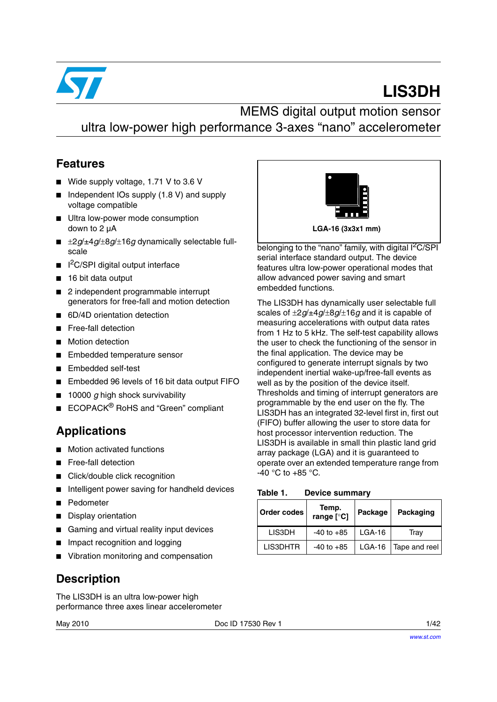

# **LIS3DH**

MEMS digital output motion sensor ultra low-power high performance 3-axes "nano" accelerometer

### **Features**

- Wide supply voltage, 1.71 V to 3.6 V
- Independent IOs supply (1.8 V) and supply voltage compatible
- Ultra low-power mode consumption down to 2 µA
- $\pm 2g/\pm 4g/\pm 8g/\pm 16g$  dynamically selectable fullscale
- I<sup>2</sup>C/SPI digital output interface
- 16 bit data output
- 2 independent programmable interrupt generators for free-fall and motion detection
- 6D/4D orientation detection
- Free-fall detection
- **Motion detection**
- Embedded temperature sensor
- Embedded self-test
- Embedded 96 levels of 16 bit data output FIFO
- 10000 g high shock survivability
- ECOPACK<sup>®</sup> RoHS and "Green" compliant

### **Applications**

- Motion activated functions
- Free-fall detection
- Click/double click recognition
- Intelligent power saving for handheld devices
- **Pedometer**
- Display orientation
- Gaming and virtual reality input devices
- Impact recognition and logging
- Vibration monitoring and compensation

### **Description**

The LIS3DH is an ultra low-power high performance three axes linear accelerometer



belonging to the "nano" family, with digital  $I<sup>2</sup>C/SPI$ serial interface standard output. The device features ultra low-power operational modes that allow advanced power saving and smart embedded functions.

The LIS3DH has dynamically user selectable full scales of ±2*g*/±4*g*/±8*g*/±16*g* and it is capable of measuring accelerations with output data rates from 1 Hz to 5 kHz. The self-test capability allows the user to check the functioning of the sensor in the final application. The device may be configured to generate interrupt signals by two independent inertial wake-up/free-fall events as well as by the position of the device itself. Thresholds and timing of interrupt generators are programmable by the end user on the fly. The LIS3DH has an integrated 32-level first in, first out (FIFO) buffer allowing the user to store data for host processor intervention reduction. The LIS3DH is available in small thin plastic land grid array package (LGA) and it is guaranteed to operate over an extended temperature range from  $-40$  °C to  $+85$  °C.

<span id="page-0-0"></span>Table 1. **Device summary** 

| <b>Order codes</b> | Temp.<br>range [°C] | Package  | Packaging              |
|--------------------|---------------------|----------|------------------------|
| LIS3DH             | $-40$ to $+85$      | $LGA-16$ | Tray                   |
| LIS3DHTR           | $-40$ to $+85$      |          | LGA-16   Tape and reel |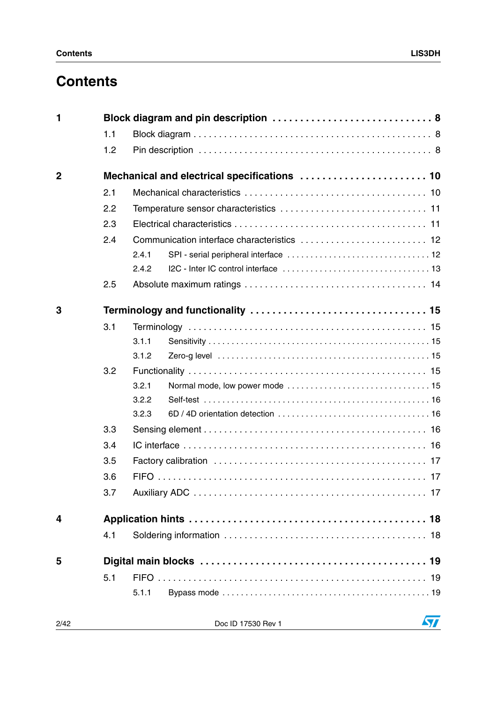### **Contents**

| 1              |     | Block diagram and pin description  8 |
|----------------|-----|--------------------------------------|
|                | 1.1 |                                      |
|                | 1.2 |                                      |
| $\overline{2}$ |     |                                      |
|                | 2.1 |                                      |
|                | 2.2 |                                      |
|                | 2.3 |                                      |
|                | 2.4 |                                      |
|                |     | 2.4.1                                |
|                |     | 2.4.2                                |
|                | 2.5 |                                      |
| 3              |     |                                      |
|                | 3.1 |                                      |
|                |     | 3.1.1                                |
|                |     | 3.1.2                                |
|                | 3.2 |                                      |
|                |     | 3.2.1                                |
|                |     | 3.2.2                                |
|                |     | 3.2.3                                |
|                | 3.3 |                                      |
|                | 3.4 |                                      |
|                | 3.5 |                                      |
|                | 3.6 |                                      |
|                | 3.7 |                                      |
| 4              |     |                                      |
|                | 4.1 |                                      |
| 5              |     |                                      |
|                | 5.1 |                                      |
|                |     | 5.1.1                                |

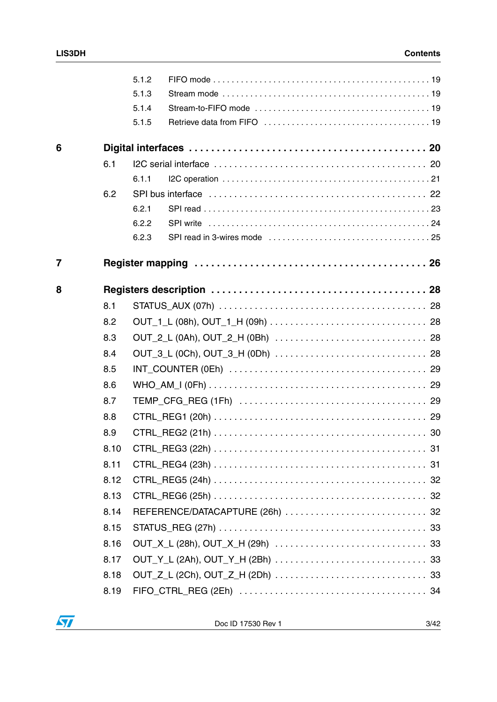|                |      | 5.1.2 |                                                                                                             |  |
|----------------|------|-------|-------------------------------------------------------------------------------------------------------------|--|
|                |      | 5.1.3 |                                                                                                             |  |
|                |      | 5.1.4 |                                                                                                             |  |
|                |      | 5.1.5 |                                                                                                             |  |
| 6              |      |       |                                                                                                             |  |
|                | 6.1  |       |                                                                                                             |  |
|                |      | 6.1.1 |                                                                                                             |  |
|                | 6.2  |       |                                                                                                             |  |
|                |      | 6.2.1 |                                                                                                             |  |
|                |      | 6.2.2 |                                                                                                             |  |
|                |      | 6.2.3 |                                                                                                             |  |
| $\overline{7}$ |      |       |                                                                                                             |  |
| 8              |      |       |                                                                                                             |  |
|                | 8.1  |       |                                                                                                             |  |
|                | 8.2  |       |                                                                                                             |  |
|                | 8.3  |       |                                                                                                             |  |
|                | 8.4  |       |                                                                                                             |  |
|                | 8.5  |       | $INT_C$ COUNTER (OEh) $\ldots \ldots \ldots \ldots \ldots \ldots \ldots \ldots \ldots \ldots \ldots \ldots$ |  |
|                | 8.6  |       |                                                                                                             |  |
|                | 8.7  |       |                                                                                                             |  |
|                | 8.8  |       |                                                                                                             |  |
|                | 8.9  |       |                                                                                                             |  |
|                | 8.10 |       |                                                                                                             |  |
|                | 8.11 |       |                                                                                                             |  |
|                | 8.12 |       |                                                                                                             |  |
|                | 8.13 |       |                                                                                                             |  |
|                | 8.14 |       |                                                                                                             |  |
|                | 8.15 |       |                                                                                                             |  |
|                | 8.16 |       |                                                                                                             |  |
|                | 8.17 |       |                                                                                                             |  |
|                | 8.18 |       |                                                                                                             |  |
|                | 8.19 |       |                                                                                                             |  |

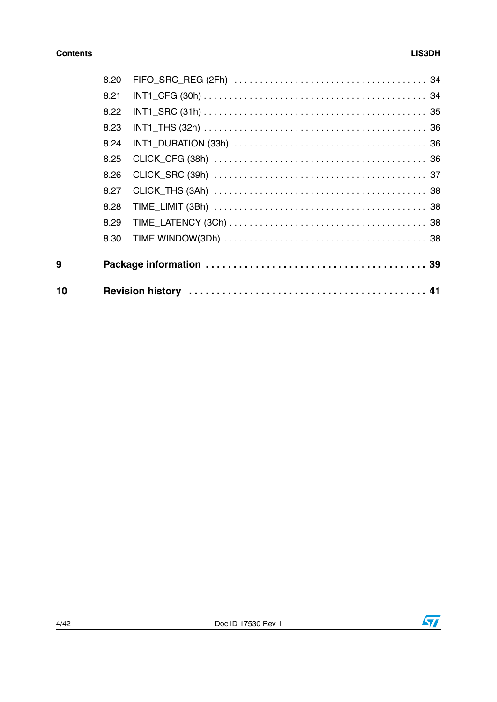| 10 |      |  |
|----|------|--|
| 9  |      |  |
|    | 8.30 |  |
|    | 8.29 |  |
|    | 8.28 |  |
|    | 8.27 |  |
|    | 8.26 |  |
|    | 8.25 |  |
|    | 8.24 |  |
|    | 8.23 |  |
|    | 8.22 |  |
|    | 8.21 |  |
|    | 8.20 |  |

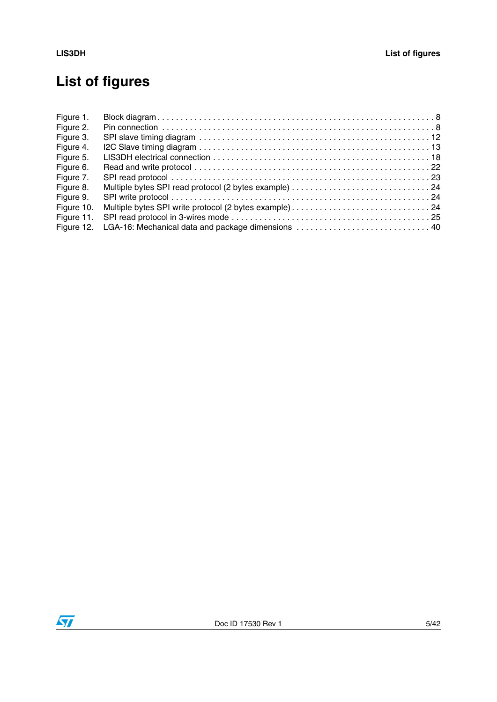# **List of figures**

| Figure 1.  |                                                    |
|------------|----------------------------------------------------|
| Figure 2.  |                                                    |
| Figure 3.  |                                                    |
| Figure 4.  |                                                    |
| Figure 5.  |                                                    |
| Figure 6.  |                                                    |
| Figure 7.  |                                                    |
| Figure 8.  |                                                    |
| Figure 9.  |                                                    |
| Figure 10. |                                                    |
| Figure 11. |                                                    |
| Figure 12. | LGA-16: Mechanical data and package dimensions  40 |

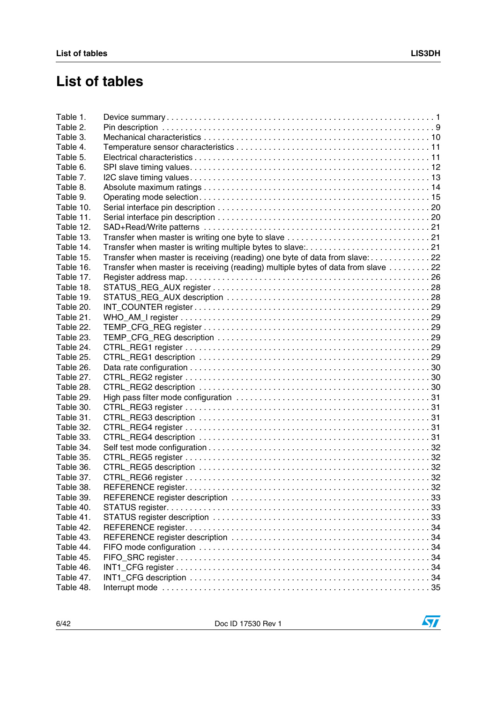### **List of tables**

| Table 1.  |                                                                                   |  |
|-----------|-----------------------------------------------------------------------------------|--|
| Table 2.  |                                                                                   |  |
| Table 3.  |                                                                                   |  |
| Table 4.  |                                                                                   |  |
| Table 5.  |                                                                                   |  |
| Table 6.  |                                                                                   |  |
| Table 7.  |                                                                                   |  |
| Table 8.  |                                                                                   |  |
| Table 9.  |                                                                                   |  |
| Table 10. |                                                                                   |  |
| Table 11. |                                                                                   |  |
| Table 12. |                                                                                   |  |
| Table 13. |                                                                                   |  |
| Table 14. |                                                                                   |  |
| Table 15. | Transfer when master is receiving (reading) one byte of data from slave: 22       |  |
| Table 16. | Transfer when master is receiving (reading) multiple bytes of data from slave  22 |  |
| Table 17. |                                                                                   |  |
| Table 18. |                                                                                   |  |
| Table 19. |                                                                                   |  |
| Table 20. |                                                                                   |  |
| Table 21. |                                                                                   |  |
| Table 22. |                                                                                   |  |
| Table 23. |                                                                                   |  |
| Table 24. |                                                                                   |  |
| Table 25. |                                                                                   |  |
| Table 26. |                                                                                   |  |
| Table 27. |                                                                                   |  |
| Table 28. |                                                                                   |  |
| Table 29. |                                                                                   |  |
| Table 30. |                                                                                   |  |
| Table 31. |                                                                                   |  |
| Table 32. |                                                                                   |  |
| Table 33. |                                                                                   |  |
| Table 34. |                                                                                   |  |
| Table 35. |                                                                                   |  |
| Table 36. |                                                                                   |  |
| Table 37. |                                                                                   |  |
| Table 38. |                                                                                   |  |
| Table 39. |                                                                                   |  |
| Table 40. |                                                                                   |  |
| Table 41. |                                                                                   |  |
| Table 42. |                                                                                   |  |
| Table 43. |                                                                                   |  |
| Table 44. |                                                                                   |  |
| Table 45. |                                                                                   |  |
| Table 46. |                                                                                   |  |
| Table 47. |                                                                                   |  |
| Table 48. |                                                                                   |  |
|           |                                                                                   |  |

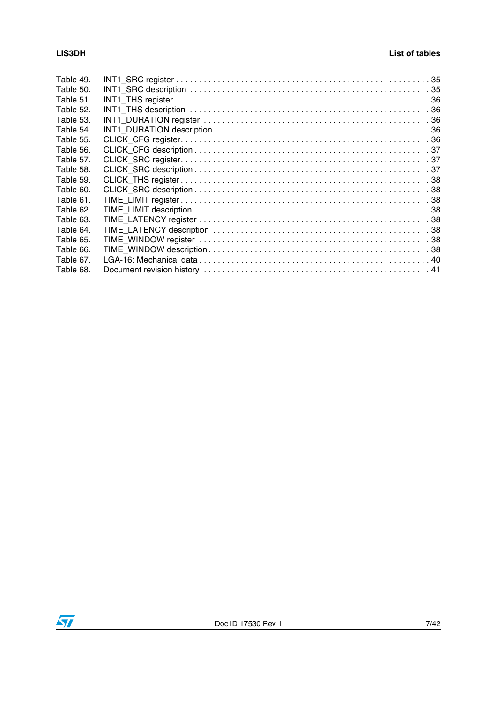| Table 49. |  |
|-----------|--|
| Table 50. |  |
| Table 51. |  |
| Table 52. |  |
| Table 53. |  |
| Table 54. |  |
| Table 55. |  |
| Table 56. |  |
| Table 57. |  |
| Table 58. |  |
| Table 59. |  |
| Table 60. |  |
| Table 61. |  |
| Table 62. |  |
| Table 63. |  |
| Table 64. |  |
| Table 65. |  |
| Table 66. |  |
| Table 67. |  |
| Table 68. |  |

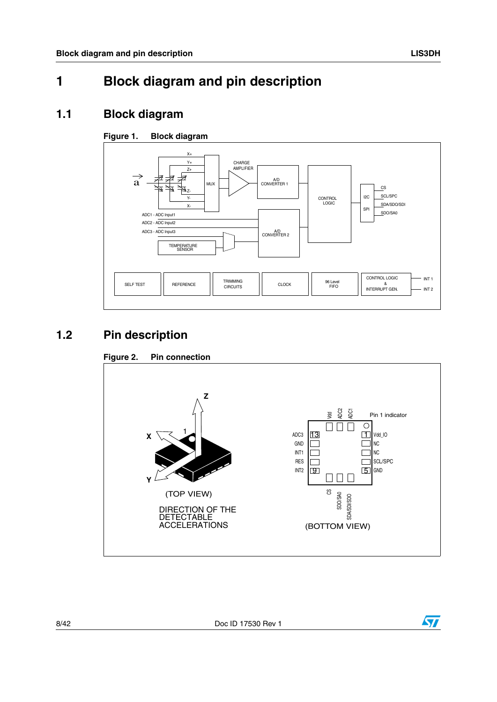### <span id="page-7-0"></span>**1 Block diagram and pin description**

### <span id="page-7-1"></span>**1.1 Block diagram**

#### <span id="page-7-3"></span>**Figure 1. Block diagram**



### <span id="page-7-2"></span>**1.2 Pin description**

<span id="page-7-4"></span>



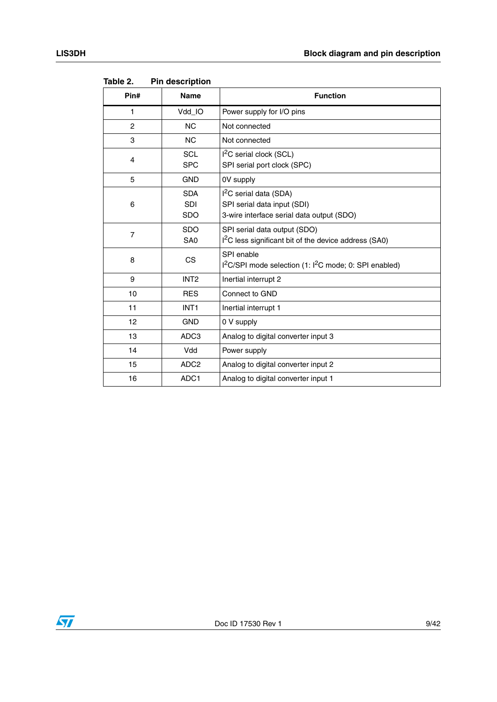| Pin#           | <b>Name</b>                            | <b>Function</b>                                                                                                |
|----------------|----------------------------------------|----------------------------------------------------------------------------------------------------------------|
| $\mathbf{1}$   | Vdd_IO                                 | Power supply for I/O pins                                                                                      |
| $\overline{c}$ | <b>NC</b>                              | Not connected                                                                                                  |
| 3              | <b>NC</b>                              | Not connected                                                                                                  |
| $\overline{4}$ | <b>SCL</b><br><b>SPC</b>               | $I2C$ serial clock (SCL)<br>SPI serial port clock (SPC)                                                        |
| 5              | <b>GND</b>                             | 0V supply                                                                                                      |
| 6              | <b>SDA</b><br><b>SDI</b><br><b>SDO</b> | I <sup>2</sup> C serial data (SDA)<br>SPI serial data input (SDI)<br>3-wire interface serial data output (SDO) |
| $\overline{7}$ | <b>SDO</b><br>SA <sub>0</sub>          | SPI serial data output (SDO)<br>I <sup>2</sup> C less significant bit of the device address (SA0)              |
| 8              | CS.                                    | SPI enable<br>I <sup>2</sup> C/SPI mode selection (1: I <sup>2</sup> C mode; 0: SPI enabled)                   |
| 9              | INT <sub>2</sub>                       | Inertial interrupt 2                                                                                           |
| 10             | <b>RES</b>                             | Connect to GND                                                                                                 |
| 11             | INT <sub>1</sub>                       | Inertial interrupt 1                                                                                           |
| 12             | <b>GND</b>                             | 0 V supply                                                                                                     |
| 13             | ADC <sub>3</sub>                       | Analog to digital converter input 3                                                                            |
| 14             | Vdd                                    | Power supply                                                                                                   |
| 15             | ADC <sub>2</sub>                       | Analog to digital converter input 2                                                                            |
| 16             | ADC1                                   | Analog to digital converter input 1                                                                            |

<span id="page-8-0"></span>Table 2. **Pin description** 

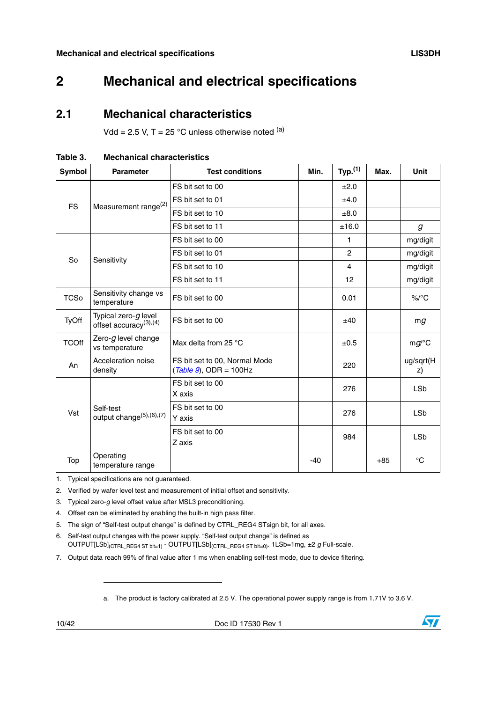### <span id="page-9-0"></span>**2 Mechanical and electrical specifications**

### <span id="page-9-1"></span>**2.1 Mechanical characteristics**

Vdd = 2.5 V, T = 25 °C unless otherwise noted  $(a)$ 

| <b>Symbol</b> | <b>Parameter</b>                                         | <b>Test conditions</b>                                     | Min.  | Typ. <sup>(1)</sup> | Max.  | <b>Unit</b>      |
|---------------|----------------------------------------------------------|------------------------------------------------------------|-------|---------------------|-------|------------------|
|               | Measurement range <sup>(2)</sup>                         | FS bit set to 00                                           |       | ±2.0                |       |                  |
| <b>FS</b>     |                                                          | FS bit set to 01                                           |       | ±4.0                |       |                  |
|               |                                                          | FS bit set to 10                                           |       | ±8.0                |       |                  |
|               |                                                          | FS bit set to 11                                           |       | ±16.0               |       | $\boldsymbol{g}$ |
|               |                                                          | FS bit set to 00                                           |       | 1                   |       | mg/digit         |
| So            | Sensitivity                                              | FS bit set to 01                                           |       | $\overline{2}$      |       | mg/digit         |
|               |                                                          | FS bit set to 10                                           |       | 4                   |       | mg/digit         |
|               |                                                          | FS bit set to 11                                           |       | 12                  |       | mg/digit         |
| <b>TCSo</b>   | Sensitivity change vs<br>temperature                     | FS bit set to 00                                           |       | 0.01                |       | $\%$ /°C         |
| TyOff         | Typical zero- $g$ level<br>offset accuracy $(3)$ , $(4)$ | FS bit set to 00                                           |       | ±40                 |       | mg               |
| <b>TCOff</b>  | Zero-g level change<br>vs temperature                    | Max delta from 25 °C                                       |       | ±0.5                |       | $mg$ /°C         |
| An            | Acceleration noise<br>density                            | FS bit set to 00, Normal Mode<br>$(Table 9)$ , ODR = 100Hz |       | 220                 |       | ug/sqrt(H<br>z)  |
|               | Self-test<br>output change <sup>(5)</sup> ,(6),(7)       | FS bit set to 00<br>X axis                                 |       | 276                 |       | <b>LSb</b>       |
| Vst           |                                                          | FS bit set to 00<br>Y axis                                 |       | 276                 |       | <b>LSb</b>       |
|               |                                                          | FS bit set to 00<br>Z axis                                 |       | 984                 |       | <b>LSb</b>       |
| Top           | Operating<br>temperature range                           |                                                            | $-40$ |                     | $+85$ | $^{\circ}C$      |

<span id="page-9-2"></span>**Table 3. Mechanical characteristics**

1. Typical specifications are not guaranteed.

2. Verified by wafer level test and measurement of initial offset and sensitivity.

3. Typical zero-*g* level offset value after MSL3 preconditioning.

4. Offset can be eliminated by enabling the built-in high pass filter.

- 5. The sign of "Self-test output change" is defined by CTRL\_REG4 STsign bit, for all axes.
- 6. Self-test output changes with the power supply. "Self-test output change" is defined as OUTPUT[LSb](CTRL\_REG4 ST bit=1) - OUTPUT[LSb](CTRL\_REG4 ST bit=0). 1LSb=1mg, ±2 *g* Full-scale.
- 7. Output data reach 99% of final value after 1 ms when enabling self-test mode, due to device filtering.

a. The product is factory calibrated at 2.5 V. The operational power supply range is from 1.71V to 3.6 V.

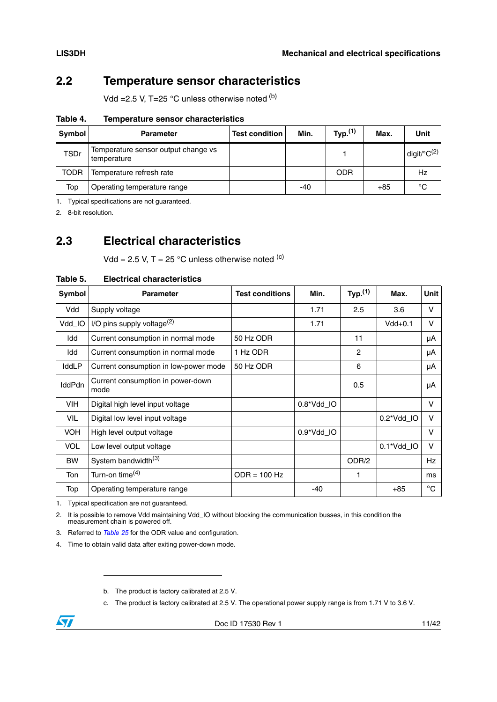### <span id="page-10-0"></span>**2.2 Temperature sensor characteristics**

Vdd =  $2.5$  V, T= $25$  °C unless otherwise noted  $(b)$ 

<span id="page-10-2"></span>**Table 4. Temperature sensor characteristics**

| Symbol      | <b>Parameter</b>                                   | <b>Test condition</b> | Min.  | Typ. <sup>(1)</sup> | Max.  | Unit                       |
|-------------|----------------------------------------------------|-----------------------|-------|---------------------|-------|----------------------------|
| <b>TSDr</b> | Temperature sensor output change vs<br>temperature |                       |       |                     |       | digit/ ${}^{\circ}C^{(2)}$ |
| <b>TODR</b> | Temperature refresh rate                           |                       |       | ODR                 |       | Hz                         |
| Top         | Operating temperature range                        |                       | $-40$ |                     | $+85$ | °C                         |

1. Typical specifications are not guaranteed.

2. 8-bit resolution.

### <span id="page-10-1"></span>**2.3 Electrical characteristics**

Vdd = 2.5 V, T = 25 °C unless otherwise noted  $(c)$ 

<span id="page-10-3"></span>

| Table 5. | <b>Electrical characteristics</b> |
|----------|-----------------------------------|
|          |                                   |

| Symbol        | <b>Parameter</b>                          | <b>Test conditions</b> | Min.       | Typ. <sup>(1)</sup> | Max.       | <b>Unit</b>  |
|---------------|-------------------------------------------|------------------------|------------|---------------------|------------|--------------|
| Vdd           | Supply voltage                            |                        | 1.71       | 2.5                 | 3.6        | V            |
| Vdd_IO        | I/O pins supply voltage $^{(2)}$          |                        | 1.71       |                     | $Vdd+0.1$  | v            |
| Idd           | Current consumption in normal mode        | 50 Hz ODR              |            | 11                  |            | μA           |
| Idd           | Current consumption in normal mode        | 1 Hz ODR               |            | 2                   |            | μA           |
| IddLP         | Current consumption in low-power mode     | 50 Hz ODR              |            | 6                   |            | μA           |
| <b>IddPdn</b> | Current consumption in power-down<br>mode |                        |            | 0.5                 |            | μA           |
| <b>VIH</b>    | Digital high level input voltage          |                        | 0.8*Vdd_IO |                     |            | V            |
| VIL           | Digital low level input voltage           |                        |            |                     | 0.2*Vdd_IO | v            |
| <b>VOH</b>    | High level output voltage                 |                        | 0.9*Vdd_IO |                     |            | V            |
| <b>VOL</b>    | Low level output voltage                  |                        |            |                     | 0.1*Vdd_IO | v            |
| <b>BW</b>     | System bandwidth <sup>(3)</sup>           |                        |            | ODR/2               |            | <b>Hz</b>    |
| Ton           | Turn-on time $(4)$                        | $ODR = 100 Hz$         |            | 1                   |            | ms           |
| Top           | Operating temperature range               |                        | $-40$      |                     | $+85$      | $^{\circ}$ C |

1. Typical specification are not guaranteed.

2. It is possible to remove Vdd maintaining Vdd\_IO without blocking the communication busses, in this condition the measurement chain is powered off.

3. Referred to *Table 25* for the ODR value and configuration.

4. Time to obtain valid data after exiting power-down mode.

c. The product is factory calibrated at 2.5 V. The operational power supply range is from 1.71 V to 3.6 V.



b. The product is factory calibrated at 2.5 V.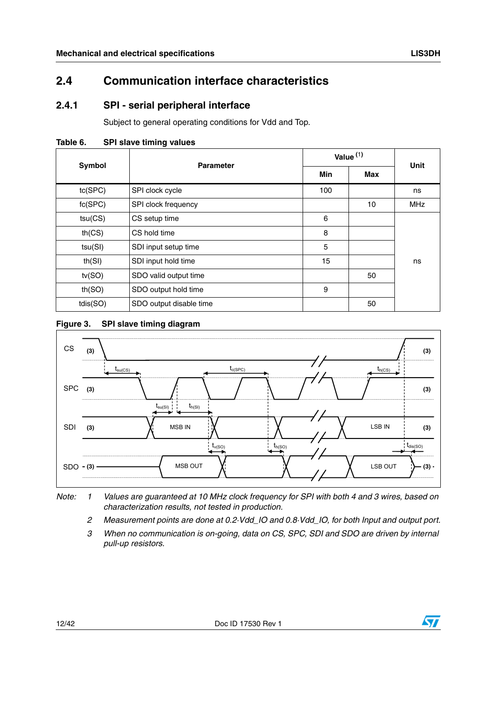### <span id="page-11-0"></span>**2.4 Communication interface characteristics**

### <span id="page-11-1"></span>**2.4.1 SPI - serial peripheral interface**

Subject to general operating conditions for Vdd and Top.

<span id="page-11-3"></span>

| <b>Symbol</b> | <b>Parameter</b>        | Value $(1)$ | Unit |            |
|---------------|-------------------------|-------------|------|------------|
|               |                         | Min         | Max  |            |
| tc(SPC)       | SPI clock cycle         | 100         |      | ns         |
| fc(SPC)       | SPI clock frequency     |             | 10   | <b>MHz</b> |
| tsu(CS)       | CS setup time           | 6           |      |            |
| th(CS)        | CS hold time            | 8           |      |            |
| tsu(SI)       | SDI input setup time    | 5           |      |            |
| th(SI)        | SDI input hold time     | 15          |      | ns         |
| tv(SO)        | SDO valid output time   |             | 50   |            |
| th(SO)        | SDO output hold time    | 9           |      |            |
| tdis(SO)      | SDO output disable time |             | 50   |            |

#### <span id="page-11-2"></span>**Figure 3. SPI slave timing diagram**



*Note: 1 Values are guaranteed at 10 MHz clock frequency for SPI with both 4 and 3 wires, based on characterization results, not tested in production.*

*2 Measurement points are done at 0.2·Vdd\_IO and 0.8·Vdd\_IO, for both Input and output port.*

*3 When no communication is on-going, data on CS, SPC, SDI and SDO are driven by internal pull-up resistors.*

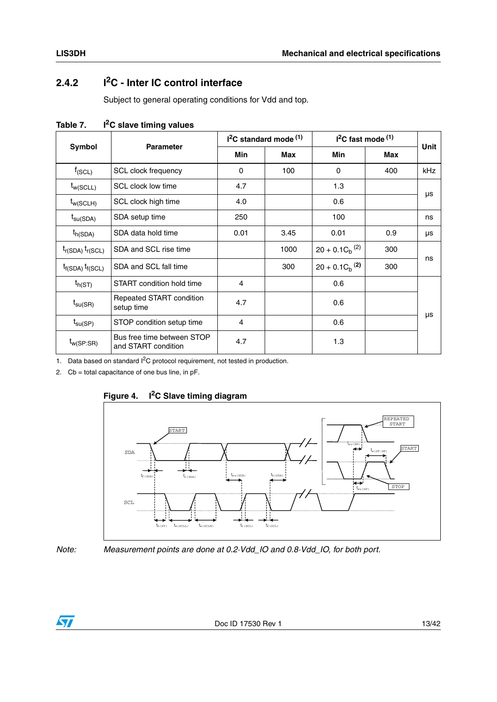### <span id="page-12-0"></span>**2.4.2 I2C - Inter IC control interface**

Subject to general operating conditions for Vdd and top.

|                         |                                                   |      | $12C$ standard mode $(1)$ | $I2C$ fast mode $(1)$ | Unit       |     |  |
|-------------------------|---------------------------------------------------|------|---------------------------|-----------------------|------------|-----|--|
| Symbol                  | <b>Parameter</b>                                  | Min  | Max                       | Min                   | <b>Max</b> |     |  |
| $f_{(SCL)}$             | SCL clock frequency                               | 0    | 100                       | 0                     | 400        | kHz |  |
| $t_{w(SCLL)}$           | SCL clock low time                                | 4.7  |                           | 1.3                   |            |     |  |
| $t_{w(SCLH)}$           | SCL clock high time                               | 4.0  |                           | 0.6                   |            | μs  |  |
| $t_{\text{su(SDA)}}$    | SDA setup time                                    | 250  |                           | 100                   |            | ns  |  |
| $t_{h(SDA)}$            | SDA data hold time                                | 0.01 | 3.45                      | 0.01                  | 0.9        | μs  |  |
| $t_{r(SDA)} t_{r(SCL)}$ | SDA and SCL rise time                             |      | 1000                      | $20 + 0.1 C_h^{(2)}$  | 300        |     |  |
| $t_{f(SDA)} t_{f(SCL)}$ | SDA and SCL fall time                             |      | 300                       | $20 + 0.1 C_h^{(2)}$  | 300        | ns  |  |
| $t_{h(ST)}$             | START condition hold time                         | 4    |                           | 0.6                   |            |     |  |
| $t_{\text{SU(SR)}}$     | Repeated START condition<br>setup time            | 4.7  |                           | 0.6                   |            |     |  |
| $t_{\text{su(SP)}}$     | STOP condition setup time                         | 4    |                           | 0.6                   |            | μs  |  |
| $t_{w(SP:SR)}$          | Bus free time between STOP<br>and START condition | 4.7  |                           | 1.3                   |            |     |  |

<span id="page-12-2"></span>Table 7. **I<sup>2</sup>C slave timing values** 

1. Data based on standard I<sup>2</sup>C protocol requirement, not tested in production.

2. Cb = total capacitance of one bus line, in pF.



#### <span id="page-12-1"></span>**Figure 4. I2C Slave timing diagram**

*Note: Measurement points are done at 0.2·Vdd\_IO and 0.8·Vdd\_IO, for both port.*

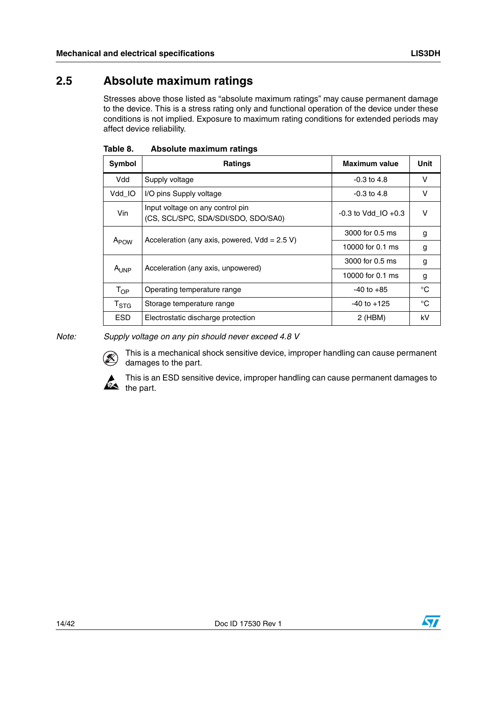### <span id="page-13-0"></span>**2.5 Absolute maximum ratings**

Stresses above those listed as "absolute maximum ratings" may cause permanent damage to the device. This is a stress rating only and functional operation of the device under these conditions is not implied. Exposure to maximum rating conditions for extended periods may affect device reliability.

| Symbol           | <b>Ratings</b>                                                          | <b>Maximum value</b>    | Unit         |
|------------------|-------------------------------------------------------------------------|-------------------------|--------------|
| Vdd              | Supply voltage                                                          | $-0.3$ to 4.8           | $\vee$       |
| Vdd IO           | I/O pins Supply voltage                                                 | $-0.3$ to 4.8           | $\vee$       |
| Vin              | Input voltage on any control pin<br>(CS, SCL/SPC, SDA/SDI/SDO, SDO/SA0) | $-0.3$ to Vdd IO $+0.3$ | v            |
| A <sub>POW</sub> | Acceleration (any axis, powered, $Vdd = 2.5 V$ )                        | 3000 for 0.5 ms         | g            |
|                  |                                                                         | 10000 for 0.1 ms        | g            |
|                  | Acceleration (any axis, unpowered)                                      | 3000 for 0.5 ms         | g            |
| A <sub>UNP</sub> |                                                                         | 10000 for 0.1 ms        | g            |
| $T_{OP}$         | Operating temperature range                                             | $-40$ to $+85$          | $^{\circ}$ C |
| $T_{\rm STG}$    | Storage temperature range                                               | $-40$ to $+125$         | $^{\circ}$ C |
| <b>ESD</b>       | Electrostatic discharge protection                                      | $2$ (HBM)               | kV           |

#### <span id="page-13-1"></span>Table 8. **Absolute maximum ratings**

*Note: Supply voltage on any pin should never exceed 4.8 V*



This is a mechanical shock sensitive device, improper handling can cause permanent damages to the part.



This is an ESD sensitive device, improper handling can cause permanent damages to  $\sum_{\text{the part.}}$ 

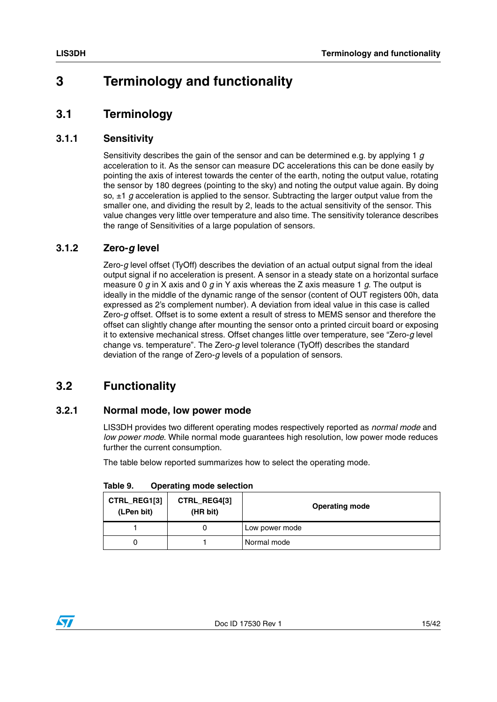### <span id="page-14-0"></span>**3 Terminology and functionality**

### <span id="page-14-1"></span>**3.1 Terminology**

#### <span id="page-14-2"></span>**3.1.1 Sensitivity**

Sensitivity describes the gain of the sensor and can be determined e.g. by applying 1 *g* acceleration to it. As the sensor can measure DC accelerations this can be done easily by pointing the axis of interest towards the center of the earth, noting the output value, rotating the sensor by 180 degrees (pointing to the sky) and noting the output value again. By doing so, ±1 *g* acceleration is applied to the sensor. Subtracting the larger output value from the smaller one, and dividing the result by 2, leads to the actual sensitivity of the sensor. This value changes very little over temperature and also time. The sensitivity tolerance describes the range of Sensitivities of a large population of sensors.

### <span id="page-14-3"></span>**3.1.2 Zero-***g* **level**

Zero-*g* level offset (TyOff) describes the deviation of an actual output signal from the ideal output signal if no acceleration is present. A sensor in a steady state on a horizontal surface measure 0 *g* in X axis and 0 *g* in Y axis whereas the Z axis measure 1 *g*. The output is ideally in the middle of the dynamic range of the sensor (content of OUT registers 00h, data expressed as 2's complement number). A deviation from ideal value in this case is called Zero-*g* offset. Offset is to some extent a result of stress to MEMS sensor and therefore the offset can slightly change after mounting the sensor onto a printed circuit board or exposing it to extensive mechanical stress. Offset changes little over temperature, see "Zero-*g* level change vs. temperature". The Zero-*g* level tolerance (TyOff) describes the standard deviation of the range of Zero-*g* levels of a population of sensors.

### <span id="page-14-4"></span>**3.2 Functionality**

#### <span id="page-14-5"></span>**3.2.1 Normal mode, low power mode**

LIS3DH provides two different operating modes respectively reported as *normal mode* and *low power mode*. While normal mode guarantees high resolution, low power mode reduces further the current consumption.

The table below reported summarizes how to select the operating mode.

| CTRL_REG1[3]<br>(LPen bit) | CTRL_REG4[3]<br>(HR bit) | <b>Operating mode</b> |
|----------------------------|--------------------------|-----------------------|
|                            |                          | Low power mode        |
|                            |                          | Normal mode           |

<span id="page-14-6"></span>**Table 9. Operating mode selection**

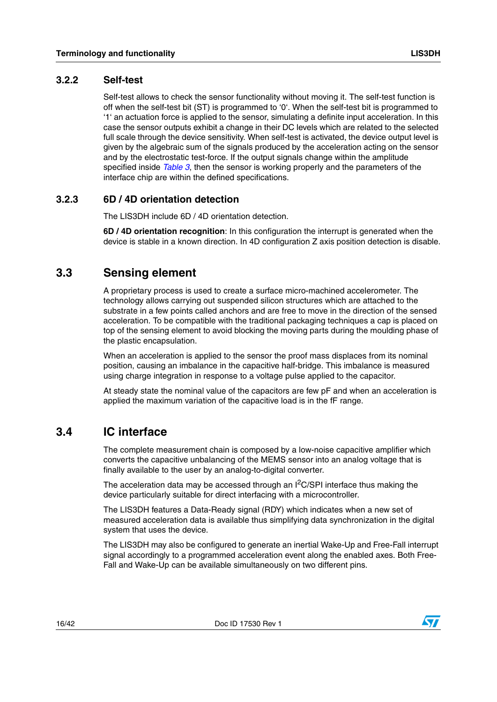#### <span id="page-15-0"></span>**3.2.2 Self-test**

Self-test allows to check the sensor functionality without moving it. The self-test function is off when the self-test bit (ST) is programmed to '0'. When the self-test bit is programmed to '1' an actuation force is applied to the sensor, simulating a definite input acceleration. In this case the sensor outputs exhibit a change in their DC levels which are related to the selected full scale through the device sensitivity. When self-test is activated, the device output level is given by the algebraic sum of the signals produced by the acceleration acting on the sensor and by the electrostatic test-force. If the output signals change within the amplitude specified inside *[Table 3](#page-9-2)*, then the sensor is working properly and the parameters of the interface chip are within the defined specifications.

#### <span id="page-15-1"></span>**3.2.3 6D / 4D orientation detection**

The LIS3DH include 6D / 4D orientation detection.

**6D / 4D orientation recognition**: In this configuration the interrupt is generated when the device is stable in a known direction. In 4D configuration Z axis position detection is disable.

### <span id="page-15-2"></span>**3.3 Sensing element**

A proprietary process is used to create a surface micro-machined accelerometer. The technology allows carrying out suspended silicon structures which are attached to the substrate in a few points called anchors and are free to move in the direction of the sensed acceleration. To be compatible with the traditional packaging techniques a cap is placed on top of the sensing element to avoid blocking the moving parts during the moulding phase of the plastic encapsulation.

When an acceleration is applied to the sensor the proof mass displaces from its nominal position, causing an imbalance in the capacitive half-bridge. This imbalance is measured using charge integration in response to a voltage pulse applied to the capacitor.

At steady state the nominal value of the capacitors are few pF and when an acceleration is applied the maximum variation of the capacitive load is in the fF range.

### <span id="page-15-3"></span>**3.4 IC interface**

The complete measurement chain is composed by a low-noise capacitive amplifier which converts the capacitive unbalancing of the MEMS sensor into an analog voltage that is finally available to the user by an analog-to-digital converter.

The acceleration data may be accessed through an  $I<sup>2</sup>C/SPI$  interface thus making the device particularly suitable for direct interfacing with a microcontroller.

The LIS3DH features a Data-Ready signal (RDY) which indicates when a new set of measured acceleration data is available thus simplifying data synchronization in the digital system that uses the device.

The LIS3DH may also be configured to generate an inertial Wake-Up and Free-Fall interrupt signal accordingly to a programmed acceleration event along the enabled axes. Both Free-Fall and Wake-Up can be available simultaneously on two different pins.

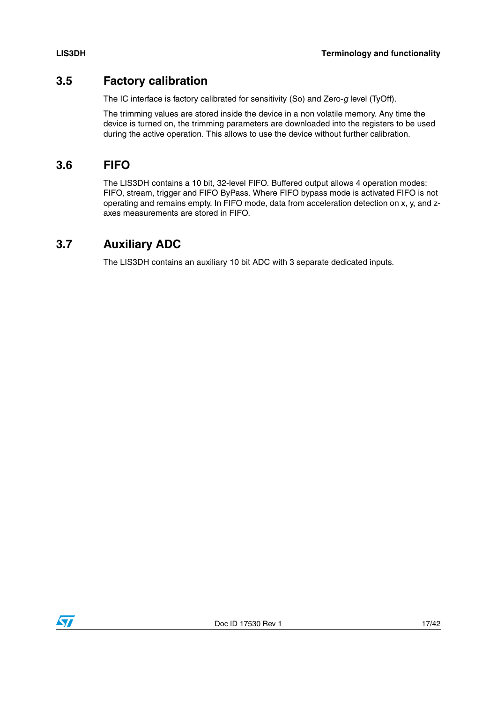### <span id="page-16-0"></span>**3.5 Factory calibration**

The IC interface is factory calibrated for sensitivity (So) and Zero-*g* level (TyOff).

The trimming values are stored inside the device in a non volatile memory. Any time the device is turned on, the trimming parameters are downloaded into the registers to be used during the active operation. This allows to use the device without further calibration.

### <span id="page-16-1"></span>**3.6 FIFO**

The LIS3DH contains a 10 bit, 32-level FIFO. Buffered output allows 4 operation modes: FIFO, stream, trigger and FIFO ByPass. Where FIFO bypass mode is activated FIFO is not operating and remains empty. In FIFO mode, data from acceleration detection on x, y, and zaxes measurements are stored in FIFO.

### <span id="page-16-2"></span>**3.7 Auxiliary ADC**

The LIS3DH contains an auxiliary 10 bit ADC with 3 separate dedicated inputs.

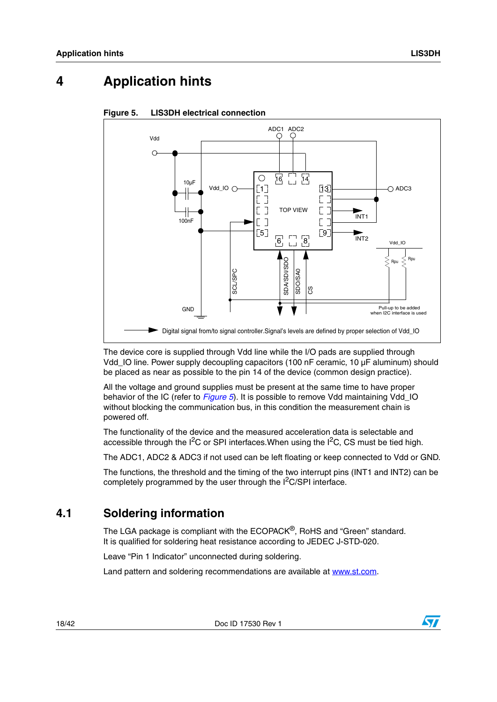### <span id="page-17-0"></span>**4 Application hints**



#### <span id="page-17-2"></span>**Figure 5. LIS3DH electrical connection**

The device core is supplied through Vdd line while the I/O pads are supplied through Vdd\_IO line. Power supply decoupling capacitors (100 nF ceramic, 10 µF aluminum) should be placed as near as possible to the pin 14 of the device (common design practice).

All the voltage and ground supplies must be present at the same time to have proper behavior of the IC (refer to *[Figure 5](#page-17-2)*). It is possible to remove Vdd maintaining Vdd\_IO without blocking the communication bus, in this condition the measurement chain is powered off.

The functionality of the device and the measured acceleration data is selectable and accessible through the  $I^2C$  or SPI interfaces. When using the  $I^2C$ , CS must be tied high.

The ADC1, ADC2 & ADC3 if not used can be left floating or keep connected to Vdd or GND.

The functions, the threshold and the timing of the two interrupt pins (INT1 and INT2) can be completely programmed by the user through the  $l^2C/SP$  interface.

### <span id="page-17-1"></span>**4.1 Soldering information**

The LGA package is compliant with the ECOPACK<sup>®</sup>, RoHS and "Green" standard. It is qualified for soldering heat resistance according to JEDEC J-STD-020.

Leave "Pin 1 Indicator" unconnected during soldering.

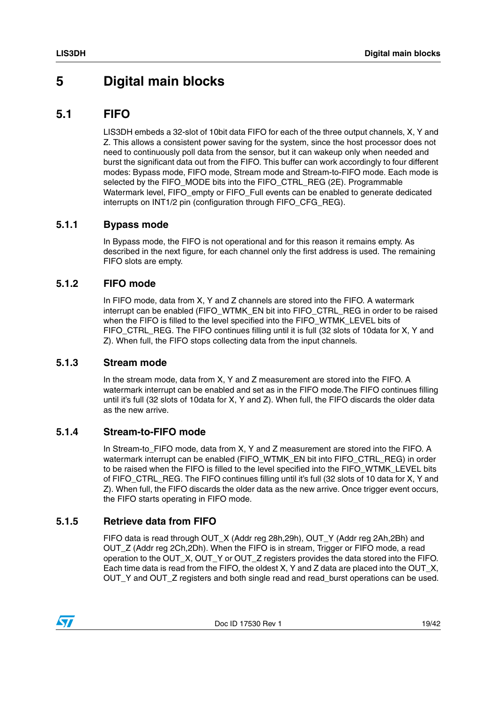### <span id="page-18-0"></span>**5 Digital main blocks**

### <span id="page-18-1"></span>**5.1 FIFO**

LIS3DH embeds a 32-slot of 10bit data FIFO for each of the three output channels, X, Y and Z. This allows a consistent power saving for the system, since the host processor does not need to continuously poll data from the sensor, but it can wakeup only when needed and burst the significant data out from the FIFO. This buffer can work accordingly to four different modes: Bypass mode, FIFO mode, Stream mode and Stream-to-FIFO mode. Each mode is selected by the FIFO\_MODE bits into the FIFO\_CTRL\_REG (2E). Programmable Watermark level, FIFO\_empty or FIFO\_Full events can be enabled to generate dedicated interrupts on INT1/2 pin (configuration through FIFO\_CFG\_REG).

### <span id="page-18-2"></span>**5.1.1 Bypass mode**

In Bypass mode, the FIFO is not operational and for this reason it remains empty. As described in the next figure, for each channel only the first address is used. The remaining FIFO slots are empty.

#### <span id="page-18-3"></span>**5.1.2 FIFO mode**

In FIFO mode, data from X, Y and Z channels are stored into the FIFO. A watermark interrupt can be enabled (FIFO\_WTMK\_EN bit into FIFO\_CTRL\_REG in order to be raised when the FIFO is filled to the level specified into the FIFO\_WTMK\_LEVEL bits of FIFO\_CTRL\_REG. The FIFO continues filling until it is full (32 slots of 10data for X, Y and Z). When full, the FIFO stops collecting data from the input channels.

#### <span id="page-18-4"></span>**5.1.3 Stream mode**

In the stream mode, data from X, Y and Z measurement are stored into the FIFO. A watermark interrupt can be enabled and set as in the FIFO mode.The FIFO continues filling until it's full (32 slots of 10data for X, Y and Z). When full, the FIFO discards the older data as the new arrive.

### <span id="page-18-5"></span>**5.1.4 Stream-to-FIFO mode**

In Stream-to\_FIFO mode, data from X, Y and Z measurement are stored into the FIFO. A watermark interrupt can be enabled (FIFO\_WTMK\_EN bit into FIFO\_CTRL\_REG) in order to be raised when the FIFO is filled to the level specified into the FIFO\_WTMK\_LEVEL bits of FIFO CTRL REG. The FIFO continues filling until it's full (32 slots of 10 data for X, Y and Z). When full, the FIFO discards the older data as the new arrive. Once trigger event occurs, the FIFO starts operating in FIFO mode.

### <span id="page-18-6"></span>**5.1.5 Retrieve data from FIFO**

FIFO data is read through OUT\_X (Addr reg 28h,29h), OUT\_Y (Addr reg 2Ah,2Bh) and OUT\_Z (Addr reg 2Ch,2Dh). When the FIFO is in stream, Trigger or FIFO mode, a read operation to the OUT\_X, OUT\_Y or OUT\_Z registers provides the data stored into the FIFO. Each time data is read from the FIFO, the oldest X, Y and Z data are placed into the OUT\_X, OUT\_Y and OUT\_Z registers and both single read and read\_burst operations can be used.

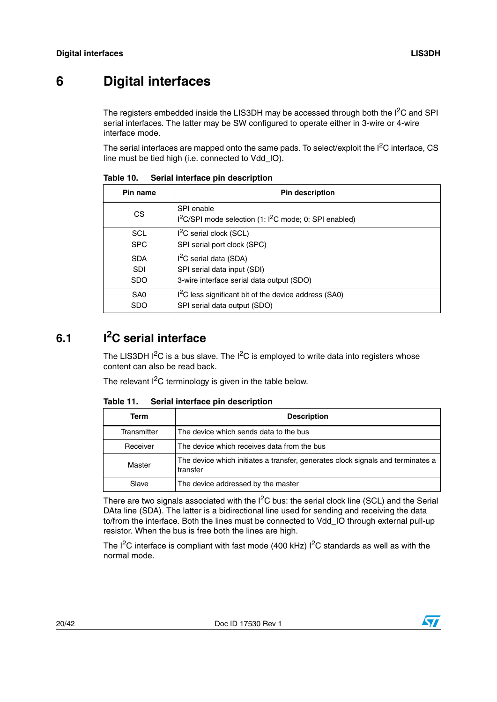### <span id="page-19-0"></span>**6 Digital interfaces**

The registers embedded inside the LIS3DH may be accessed through both the  $I<sup>2</sup>C$  and SPI serial interfaces. The latter may be SW configured to operate either in 3-wire or 4-wire interface mode.

The serial interfaces are mapped onto the same pads. To select/exploit the  $I<sup>2</sup>C$  interface, CS line must be tied high (i.e. connected to Vdd\_IO).

| Pin name        | <b>Pin description</b>                                                                       |
|-----------------|----------------------------------------------------------------------------------------------|
| CS.             | SPI enable<br>I <sup>2</sup> C/SPI mode selection (1: I <sup>2</sup> C mode; 0: SPI enabled) |
| <b>SCL</b>      | $I2C$ serial clock (SCL)                                                                     |
| <b>SPC</b>      | SPI serial port clock (SPC)                                                                  |
| <b>SDA</b>      | $I2C$ serial data (SDA)                                                                      |
| <b>SDI</b>      | SPI serial data input (SDI)                                                                  |
| <b>SDO</b>      | 3-wire interface serial data output (SDO)                                                    |
| SA <sub>0</sub> | I <sup>2</sup> C less significant bit of the device address (SA0)                            |
| <b>SDO</b>      | SPI serial data output (SDO)                                                                 |

<span id="page-19-2"></span>Table 10. **Serial interface pin description** 

### <span id="page-19-1"></span>**6.1 I2C serial interface**

The LIS3DH  $I^2C$  is a bus slave. The  $I^2C$  is employed to write data into registers whose content can also be read back.

The relevant  $I^2C$  terminology is given in the table below.

| Term        | <b>Description</b>                                                                          |  |  |  |  |  |
|-------------|---------------------------------------------------------------------------------------------|--|--|--|--|--|
| Transmitter | The device which sends data to the bus                                                      |  |  |  |  |  |
| Receiver    | The device which receives data from the bus                                                 |  |  |  |  |  |
| Master      | The device which initiates a transfer, generates clock signals and terminates a<br>transfer |  |  |  |  |  |
| Slave       | The device addressed by the master                                                          |  |  |  |  |  |

<span id="page-19-3"></span>Table 11. **Serial interface pin description** 

There are two signals associated with the  $I^2C$  bus: the serial clock line (SCL) and the Serial DAta line (SDA). The latter is a bidirectional line used for sending and receiving the data to/from the interface. Both the lines must be connected to Vdd\_IO through external pull-up resistor. When the bus is free both the lines are high.

The  $I^2C$  interface is compliant with fast mode (400 kHz)  $I^2C$  standards as well as with the normal mode.

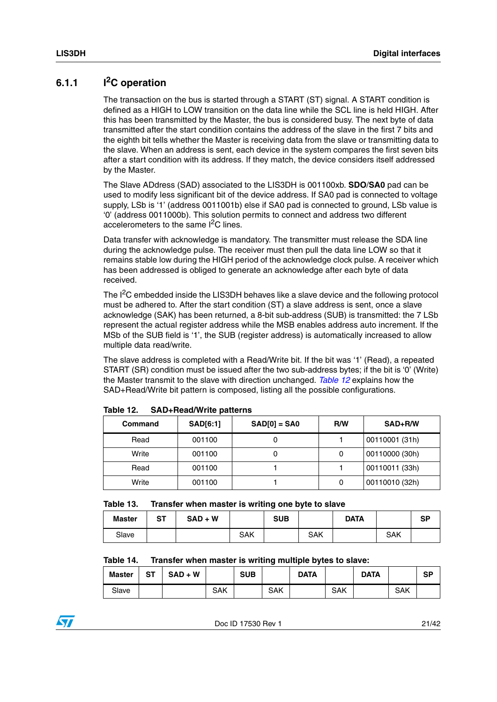### <span id="page-20-0"></span>**6.1.1 I2C operation**

The transaction on the bus is started through a START (ST) signal. A START condition is defined as a HIGH to LOW transition on the data line while the SCL line is held HIGH. After this has been transmitted by the Master, the bus is considered busy. The next byte of data transmitted after the start condition contains the address of the slave in the first 7 bits and the eighth bit tells whether the Master is receiving data from the slave or transmitting data to the slave. When an address is sent, each device in the system compares the first seven bits after a start condition with its address. If they match, the device considers itself addressed by the Master.

The Slave ADdress (SAD) associated to the LIS3DH is 001100xb. **SDO**/**SA0** pad can be used to modify less significant bit of the device address. If SA0 pad is connected to voltage supply, LSb is '1' (address 0011001b) else if SA0 pad is connected to ground, LSb value is '0' (address 0011000b). This solution permits to connect and address two different accelerometers to the same  $I^2C$  lines.

Data transfer with acknowledge is mandatory. The transmitter must release the SDA line during the acknowledge pulse. The receiver must then pull the data line LOW so that it remains stable low during the HIGH period of the acknowledge clock pulse. A receiver which has been addressed is obliged to generate an acknowledge after each byte of data received.

The I<sup>2</sup>C embedded inside the LIS3DH behaves like a slave device and the following protocol must be adhered to. After the start condition (ST) a slave address is sent, once a slave acknowledge (SAK) has been returned, a 8-bit sub-address (SUB) is transmitted: the 7 LSb represent the actual register address while the MSB enables address auto increment. If the MSb of the SUB field is '1', the SUB (register address) is automatically increased to allow multiple data read/write.

The slave address is completed with a Read/Write bit. If the bit was '1' (Read), a repeated START (SR) condition must be issued after the two sub-address bytes; if the bit is '0' (Write) the Master transmit to the slave with direction unchanged. *[Table 12](#page-20-1)* explains how the SAD+Read/Write bit pattern is composed, listing all the possible configurations.

| Command | SAD[6:1] | $SAD[0] = SAO$ | R/W | SAD+R/W        |
|---------|----------|----------------|-----|----------------|
| Read    | 001100   |                |     | 00110001 (31h) |
| Write   | 001100   | U              | 0   | 00110000 (30h) |
| Read    | 001100   |                |     | 00110011 (33h) |
| Write   | 001100   |                | 0   | 00110010 (32h) |

<span id="page-20-1"></span>

| Table 12. | <b>SAD+Read/Write patterns</b> |  |
|-----------|--------------------------------|--|
|-----------|--------------------------------|--|

<span id="page-20-2"></span>

| Table 13. |  |  | Transfer when master is writing one byte to slave |
|-----------|--|--|---------------------------------------------------|
|-----------|--|--|---------------------------------------------------|

| <b>Master</b> | <b>ST</b> | $SAD + W$ |            | <b>SUB</b> |            | <b>DATA</b> |            | SP |
|---------------|-----------|-----------|------------|------------|------------|-------------|------------|----|
| Slave         |           |           | <b>SAK</b> |            | <b>SAK</b> |             | <b>SAK</b> |    |

#### <span id="page-20-3"></span>**Table 14. Transfer when master is writing multiple bytes to slave:**

| <b>Master</b> | ST | $SAD + W$ |            | <b>SUB</b> |            | <b>DATA</b> |     | <b>DATA</b> |     | <b>SP</b> |
|---------------|----|-----------|------------|------------|------------|-------------|-----|-------------|-----|-----------|
| Slave         |    |           | <b>SAK</b> |            | <b>SAK</b> |             | SAK |             | SAK |           |

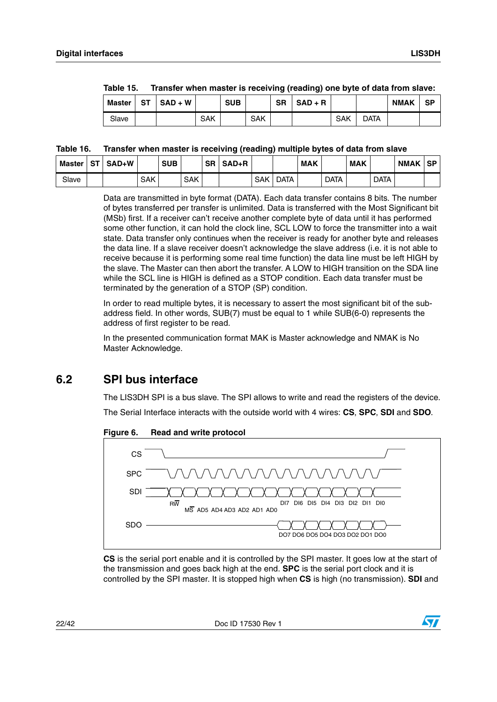| <b>Master</b> | ST | $SAD + W$ |     | <b>SUB</b> |            | SR | $SAD + R$ |            |      | <b>NMAK</b> | SP |
|---------------|----|-----------|-----|------------|------------|----|-----------|------------|------|-------------|----|
| Slave         |    |           | SAK |            | <b>SAK</b> |    |           | <b>SAK</b> | data |             |    |

<span id="page-21-2"></span>

| Table 15. | Transfer when master is receiving (reading) one byte of data from slave: |  |  |
|-----------|--------------------------------------------------------------------------|--|--|
|           |                                                                          |  |  |

#### <span id="page-21-3"></span>**Table 16. Transfer when master is receiving (reading) multiple bytes of data from slave**

| <b>Master</b> | <b>ST</b> | SAD+W |            | <b>SUB</b> |            | <b>SR</b> | $SAD+R$ |            |             | <b>MAK</b> |             | <b>MAK</b> |             | <b>NMAK</b> | <b>SP</b> |
|---------------|-----------|-------|------------|------------|------------|-----------|---------|------------|-------------|------------|-------------|------------|-------------|-------------|-----------|
| Slave         |           |       | <b>SAK</b> |            | <b>SAK</b> |           |         | <b>SAK</b> | <b>DATA</b> |            | <b>DATA</b> |            | <b>DATA</b> |             |           |

Data are transmitted in byte format (DATA). Each data transfer contains 8 bits. The number of bytes transferred per transfer is unlimited. Data is transferred with the Most Significant bit (MSb) first. If a receiver can't receive another complete byte of data until it has performed some other function, it can hold the clock line, SCL LOW to force the transmitter into a wait state. Data transfer only continues when the receiver is ready for another byte and releases the data line. If a slave receiver doesn't acknowledge the slave address (i.e. it is not able to receive because it is performing some real time function) the data line must be left HIGH by the slave. The Master can then abort the transfer. A LOW to HIGH transition on the SDA line while the SCL line is HIGH is defined as a STOP condition. Each data transfer must be terminated by the generation of a STOP (SP) condition.

In order to read multiple bytes, it is necessary to assert the most significant bit of the subaddress field. In other words, SUB(7) must be equal to 1 while SUB(6-0) represents the address of first register to be read.

In the presented communication format MAK is Master acknowledge and NMAK is No Master Acknowledge.

### <span id="page-21-0"></span>**6.2 SPI bus interface**

The LIS3DH SPI is a bus slave. The SPI allows to write and read the registers of the device. The Serial Interface interacts with the outside world with 4 wires: **CS**, **SPC**, **SDI** and **SDO**.



<span id="page-21-1"></span>**Figure 6. Read and write protocol**

**CS** is the serial port enable and it is controlled by the SPI master. It goes low at the start of the transmission and goes back high at the end. **SPC** is the serial port clock and it is controlled by the SPI master. It is stopped high when **CS** is high (no transmission). **SDI** and

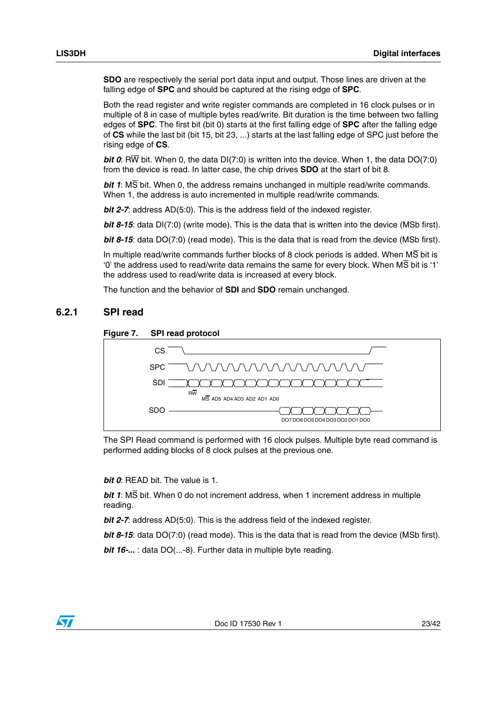**SDO** are respectively the serial port data input and output. Those lines are driven at the falling edge of **SPC** and should be captured at the rising edge of **SPC**.

Both the read register and write register commands are completed in 16 clock pulses or in multiple of 8 in case of multiple bytes read/write. Bit duration is the time between two falling edges of **SPC**. The first bit (bit 0) starts at the first falling edge of **SPC** after the falling edge of **CS** while the last bit (bit 15, bit 23, ...) starts at the last falling edge of SPC just before the rising edge of **CS**.

*bit 0*: RW bit. When 0, the data DI(7:0) is written into the device. When 1, the data DO(7:0) from the device is read. In latter case, the chip drives **SDO** at the start of bit 8.

*bit 1*: MS bit. When 0, the address remains unchanged in multiple read/write commands. When 1, the address is auto incremented in multiple read/write commands.

*bit 2-7*: address AD(5:0). This is the address field of the indexed register.

*bit 8-15*: data DI(7:0) (write mode). This is the data that is written into the device (MSb first).

*bit 8-15*: data DO(7:0) (read mode). This is the data that is read from the device (MSb first).

In multiple read/write commands further blocks of 8 clock periods is added. When MS bit is '0' the address used to read/write data remains the same for every block. When MS bit is '1' the address used to read/write data is increased at every block.

The function and the behavior of **SDI** and **SDO** remain unchanged.

#### <span id="page-22-0"></span>**6.2.1 SPI read**

<span id="page-22-1"></span>



The SPI Read command is performed with 16 clock pulses. Multiple byte read command is performed adding blocks of 8 clock pulses at the previous one.

*bit 0*: READ bit. The value is 1.

*bit 1*: MS bit. When 0 do not increment address, when 1 increment address in multiple reading.

*bit 2-7*: address AD(5:0). This is the address field of the indexed register.

*bit 8-15*: data DO(7:0) (read mode). This is the data that is read from the device (MSb first).

*bit 16-...* : data DO(...-8). Further data in multiple byte reading.

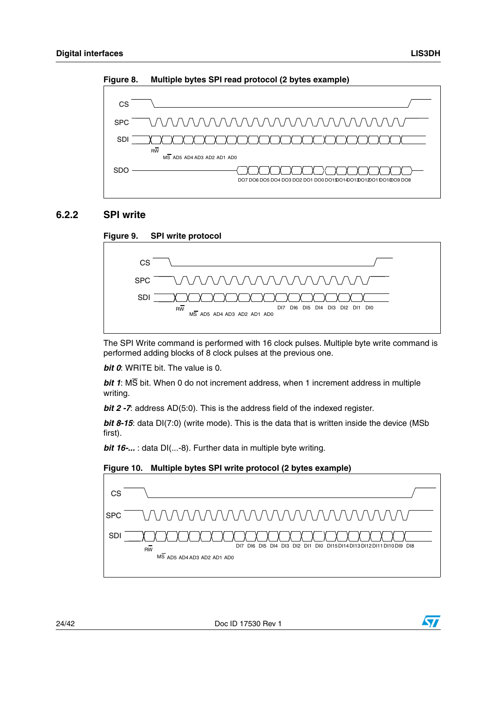

<span id="page-23-1"></span>**Figure 8. Multiple bytes SPI read protocol (2 bytes example)**

#### <span id="page-23-0"></span>**6.2.2 SPI write**

<span id="page-23-2"></span>

The SPI Write command is performed with 16 clock pulses. Multiple byte write command is performed adding blocks of 8 clock pulses at the previous one.

*bit 0*: WRITE bit. The value is 0.

*bit 1*: MS bit. When 0 do not increment address, when 1 increment address in multiple writing.

*bit 2 -7*: address AD(5:0). This is the address field of the indexed register.

*bit 8-15*: data DI(7:0) (write mode). This is the data that is written inside the device (MSb first).

*bit 16-...* : data DI(...-8). Further data in multiple byte writing.



<span id="page-23-3"></span>

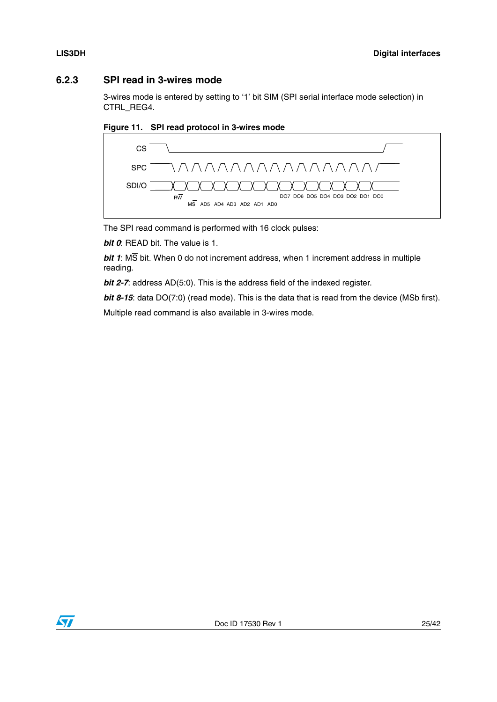#### <span id="page-24-0"></span>**6.2.3 SPI read in 3-wires mode**

3-wires mode is entered by setting to '1' bit SIM (SPI serial interface mode selection) in CTRL\_REG4.

<span id="page-24-1"></span>



The SPI read command is performed with 16 clock pulses:

*bit 0*: READ bit. The value is 1.

*bit 1*: MS bit. When 0 do not increment address, when 1 increment address in multiple reading.

*bit 2-7*: address AD(5:0). This is the address field of the indexed register.

*bit 8-15*: data DO(7:0) (read mode). This is the data that is read from the device (MSb first).

Multiple read command is also available in 3-wires mode.

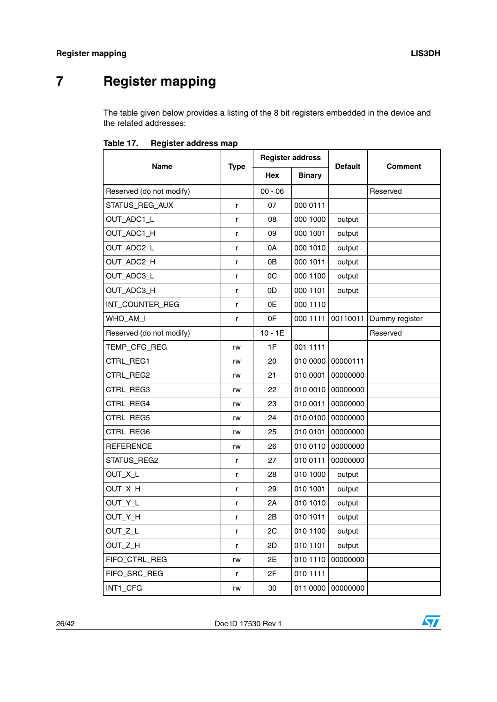## <span id="page-25-0"></span>**7 Register mapping**

The table given below provides a listing of the 8 bit registers embedded in the device and the related addresses:

|                          |             | <b>Register address</b> |               |                |                |  |
|--------------------------|-------------|-------------------------|---------------|----------------|----------------|--|
| <b>Name</b>              | <b>Type</b> | <b>Hex</b>              | <b>Binary</b> | <b>Default</b> | <b>Comment</b> |  |
| Reserved (do not modify) |             | $00 - 06$               |               |                | Reserved       |  |
| STATUS REG AUX           | r           | 07                      | 000 0111      |                |                |  |
| OUT_ADC1_L               | r           | 08                      | 000 1000      | output         |                |  |
| OUT_ADC1_H               | r           | 09                      | 000 1001      | output         |                |  |
| OUT_ADC2_L               | r           | 0A                      | 000 1010      | output         |                |  |
| OUT_ADC2_H               | r           | 0B                      | 000 1011      | output         |                |  |
| OUT_ADC3_L               | r           | 0C                      | 000 1100      | output         |                |  |
| OUT_ADC3_H               | r           | 0D                      | 000 1101      | output         |                |  |
| INT_COUNTER_REG          | r           | 0E                      | 000 1110      |                |                |  |
| WHO_AM_I                 | r           | 0F                      | 000 1111      | 00110011       | Dummy register |  |
| Reserved (do not modify) |             | $10 - 1E$               |               |                | Reserved       |  |
| TEMP_CFG_REG             | rw          | 1F                      | 001 1111      |                |                |  |
| CTRL_REG1                | rw          | 20                      | 010 0000      | 00000111       |                |  |
| CTRL_REG2                | rw          | 21                      | 010 0001      | 00000000       |                |  |
| CTRL_REG3                | rw          | 22                      | 010 0010      | 00000000       |                |  |
| CTRL REG4                | rw          | 23                      | 010 0011      | 00000000       |                |  |
| CTRL_REG5                | rw          | 24                      | 010 0100      | 00000000       |                |  |
| CTRL_REG6                | rw          | 25                      | 010 0101      | 00000000       |                |  |
| <b>REFERENCE</b>         | rw          | 26                      | 010 0110      | 00000000       |                |  |
| STATUS_REG2              | r           | 27                      | 010 0111      | 00000000       |                |  |
| OUT_X_L                  | r           | 28                      | 010 1000      | output         |                |  |
| OUT_X_H                  | r           | 29                      | 010 1001      | output         |                |  |
| OUT_Y_L                  | r           | 2A                      | 010 1010      | output         |                |  |
| OUT_Y_H                  | r           | 2B                      | 010 1011      | output         |                |  |
| OUT_Z_L                  | r           | 2C                      | 010 1100      | output         |                |  |
| OUT_Z_H                  | r           | 2D                      | 010 1101      | output         |                |  |
| FIFO_CTRL_REG            | rw          | 2E                      | 010 1110      | 00000000       |                |  |
| FIFO SRC REG             | r           | 2F                      | 010 1111      |                |                |  |
| INT1_CFG                 | rw          | 30                      | 011 0000      | 00000000       |                |  |

<span id="page-25-1"></span>

| Table 17. | <b>Register address map</b> |  |  |
|-----------|-----------------------------|--|--|
|-----------|-----------------------------|--|--|

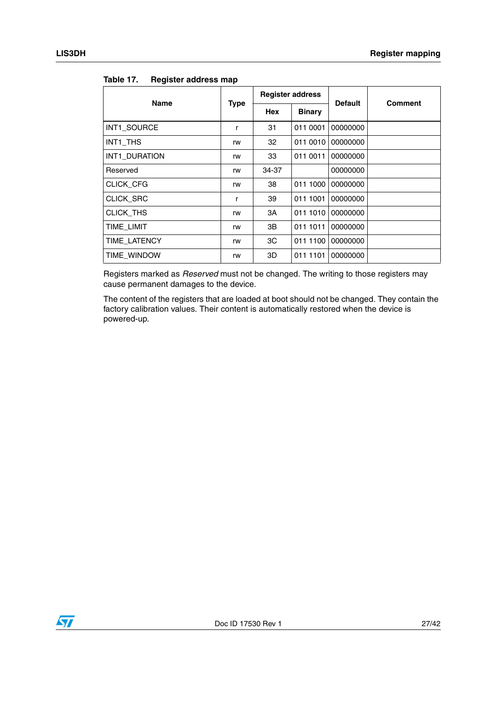| - 3              |                           |                         |               |                |                |  |
|------------------|---------------------------|-------------------------|---------------|----------------|----------------|--|
|                  |                           | <b>Register address</b> |               |                | <b>Comment</b> |  |
| <b>Name</b>      | <b>Type</b><br><b>Hex</b> |                         | <b>Binary</b> | <b>Default</b> |                |  |
| INT1_SOURCE      | r                         | 31                      | 011 0001      | 00000000       |                |  |
| INT1 THS         | rw                        | 32                      | 011 0010      | 00000000       |                |  |
| INT1 DURATION    | rw                        | 33                      | 011 0011      | 00000000       |                |  |
| Reserved         | rw                        | 34-37                   |               | 00000000       |                |  |
| CLICK_CFG        | rw                        | 38                      | 011 1000      | 00000000       |                |  |
| <b>CLICK SRC</b> | r                         | 39                      | 011 1001      | 00000000       |                |  |
| CLICK THS        | rw                        | 3A                      | 011 1010      | 00000000       |                |  |
| TIME LIMIT       | rw                        | 3B                      | 011 1011      | 00000000       |                |  |
| TIME_LATENCY     | rw                        | ЗC                      | 011 1100      | 00000000       |                |  |
| TIME WINDOW      | rw                        | 3D                      | 011 1101      | 00000000       |                |  |

**Table 17. Register address map**

Registers marked as *Reserved* must not be changed. The writing to those registers may cause permanent damages to the device.

The content of the registers that are loaded at boot should not be changed. They contain the factory calibration values. Their content is automatically restored when the device is powered-up.

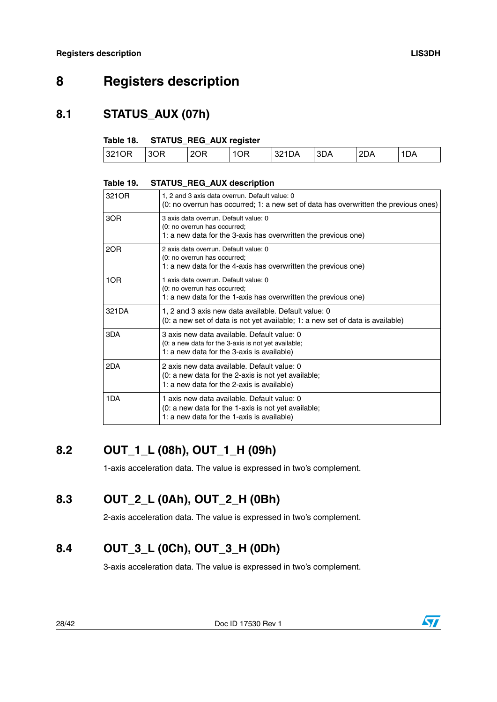### <span id="page-27-0"></span>**8 Registers description**

### <span id="page-27-1"></span>**8.1 STATUS\_AUX (07h)**

#### <span id="page-27-5"></span>**Table 18. STATUS\_REG\_AUX register**

| 2OR<br>ΩR<br>3210R<br>ΘR<br>3DA<br>۱Δ<br>30<br>J4 | ΤΔ. |      |
|---------------------------------------------------|-----|------|
|                                                   | --  | . AL |

#### <span id="page-27-6"></span>**Table 19. STATUS\_REG\_AUX description**

| 321OR | 1, 2 and 3 axis data overrun. Default value: 0<br>(0: no overrun has occurred; 1: a new set of data has overwritten the previous ones)           |
|-------|--------------------------------------------------------------------------------------------------------------------------------------------------|
| 3OR   | 3 axis data overrun. Default value: 0<br>(0: no overrun has occurred;<br>1: a new data for the 3-axis has overwritten the previous one)          |
| 2OR   | 2 axis data overrun. Default value: 0<br>(0: no overrun has occurred;<br>1: a new data for the 4-axis has overwritten the previous one)          |
| 1OR   | 1 axis data overrun. Default value: 0<br>(0: no overrun has occurred;<br>1: a new data for the 1-axis has overwritten the previous one)          |
| 321DA | 1, 2 and 3 axis new data available. Default value: 0<br>$(0: a new set of data is not yet available; 1: a new set of data is available)$         |
| 3DA   | 3 axis new data available. Default value: 0<br>(0: a new data for the 3-axis is not yet available;<br>1: a new data for the 3-axis is available) |
| 2DA   | 2 axis new data available. Default value: 0<br>(0: a new data for the 2-axis is not yet available;<br>1: a new data for the 2-axis is available) |
| 1DA   | 1 axis new data available. Default value: 0<br>(0: a new data for the 1-axis is not yet available;<br>1: a new data for the 1-axis is available) |

### <span id="page-27-2"></span>**8.2 OUT\_1\_L (08h), OUT\_1\_H (09h)**

1-axis acceleration data. The value is expressed in two's complement.

### <span id="page-27-3"></span>**8.3 OUT\_2\_L (0Ah), OUT\_2\_H (0Bh)**

2-axis acceleration data. The value is expressed in two's complement.

### <span id="page-27-4"></span>**8.4 OUT\_3\_L (0Ch), OUT\_3\_H (0Dh)**

3-axis acceleration data. The value is expressed in two's complement.

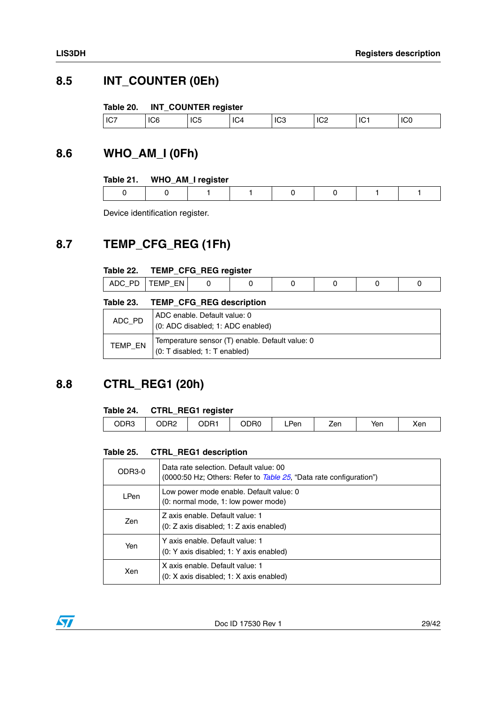### <span id="page-28-0"></span>**8.5 INT\_COUNTER (0Eh)**

#### <span id="page-28-4"></span>**Table 20. INT\_COUNTER register**

| IC7<br>IC.S<br>$\sim$<br>IC <sub>6</sub><br><br>ΙU<br><b>IU4</b><br>ш<br>ாட்<br>∿∠<br>∣∪∪<br>w |
|------------------------------------------------------------------------------------------------|
|------------------------------------------------------------------------------------------------|

### <span id="page-28-1"></span>**8.6 WHO\_AM\_I (0Fh)**

#### <span id="page-28-5"></span>**Table 21. WHO\_AM\_I register**

Device identification register.

### <span id="page-28-2"></span>**8.7 TEMP\_CFG\_REG (1Fh)**

#### <span id="page-28-6"></span>**Table 22. TEMP\_CFG\_REG register**

| ⊢N<br>M<br>---- |
|-----------------|
|-----------------|

<span id="page-28-7"></span>

|         | Table 23. TEMP CFG REG description                                                   |
|---------|--------------------------------------------------------------------------------------|
| ADC_PD  | ADC enable. Default value: 0<br>(0: ADC disabled; 1: ADC enabled)                    |
| TEMP_EN | Temperature sensor (T) enable. Default value: 0<br>$(0: T$ disabled; 1: $T$ enabled) |

### <span id="page-28-3"></span>**8.8 CTRL\_REG1 (20h)**

#### <span id="page-28-8"></span>**Table 24. CTRL\_REG1 register**

| ODR3 | ODR2 | ODR1 | ODR0 | ∟Pen | ∠en | Yen | Xen |
|------|------|------|------|------|-----|-----|-----|
|      |      |      |      |      |     |     |     |

#### <span id="page-28-9"></span>**Table 25. CTRL\_REG1 description**

| ODR3-0      | Data rate selection. Default value: 00<br>(0000:50 Hz; Others: Refer to Table 25, "Data rate configuration") |
|-------------|--------------------------------------------------------------------------------------------------------------|
| <b>LPen</b> | Low power mode enable. Default value: 0<br>(0: normal mode, 1: low power mode)                               |
| Zen         | Z axis enable. Default value: 1<br>$(0: Z \text{ axis disabled}; 1: Z \text{ axis enabled})$                 |
| Yen         | Y axis enable. Default value: 1<br>(0: Y axis disabled; 1: Y axis enabled)                                   |
| Xen         | X axis enable. Default value: 1<br>$(0: X$ axis disabled; 1: X axis enabled)                                 |

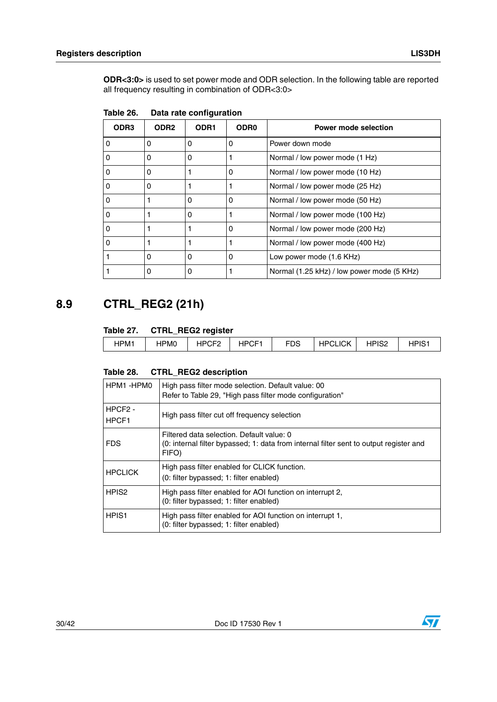**ODR<3:0>** is used to set power mode and ODR selection. In the following table are reported all frequency resulting in combination of ODR<3:0>

| ODR <sub>3</sub> | ODR <sub>2</sub> | ODR <sub>1</sub> | <b>ODR0</b> | Power mode selection                       |
|------------------|------------------|------------------|-------------|--------------------------------------------|
| $\Omega$         | 0                | 0                | 0           | Power down mode                            |
|                  | 0                | 0                |             | Normal / low power mode (1 Hz)             |
| 0                | 0                |                  | 0           | Normal / low power mode (10 Hz)            |
| 0                | 0                |                  |             | Normal / low power mode (25 Hz)            |
| O                |                  | 0                | 0           | Normal / low power mode (50 Hz)            |
| 0                |                  | Ω                |             | Normal / low power mode (100 Hz)           |
| 0                |                  |                  | 0           | Normal / low power mode (200 Hz)           |
| Ω                |                  |                  |             | Normal / low power mode (400 Hz)           |
|                  | 0                | 0                | 0           | Low power mode (1.6 KHz)                   |
|                  | 0                | 0                |             | Normal (1.25 kHz) / low power mode (5 KHz) |

<span id="page-29-1"></span>

| Table 26. |  | Data rate configuration |
|-----------|--|-------------------------|
|-----------|--|-------------------------|

### <span id="page-29-0"></span>**8.9 CTRL\_REG2 (21h)**

#### <span id="page-29-2"></span>**Table 27. CTRL\_REG2 register**

|  | HPM1 | IPM <sub>0</sub><br>ור | IDRC<br>п۲<br>_ | HPCF <sup>-</sup> | rno<br>้มร<br>- 1 | <b>HPCLICK</b><br>⊓ HH | HPIS <sub>2</sub> | י הוחו<br>∵~ات |
|--|------|------------------------|-----------------|-------------------|-------------------|------------------------|-------------------|----------------|
|--|------|------------------------|-----------------|-------------------|-------------------|------------------------|-------------------|----------------|

#### <span id="page-29-3"></span>**Table 28. CTRL\_REG2 description**

| HPM1-HPM0                    | High pass filter mode selection. Default value: 00<br>Refer to Table 29, "High pass filter mode configuration"                               |
|------------------------------|----------------------------------------------------------------------------------------------------------------------------------------------|
| HPCF <sub>2</sub> -<br>HPCF1 | High pass filter cut off frequency selection                                                                                                 |
| <b>FDS</b>                   | Filtered data selection. Default value: 0<br>(0: internal filter bypassed; 1: data from internal filter sent to output register and<br>FIFO) |
| <b>HPCLICK</b>               | High pass filter enabled for CLICK function.<br>(0: filter bypassed; 1: filter enabled)                                                      |
| HPIS <sub>2</sub>            | High pass filter enabled for AOI function on interrupt 2,<br>(0: filter bypassed; 1: filter enabled)                                         |
| HPIS <sub>1</sub>            | High pass filter enabled for AOI function on interrupt 1,<br>(0: filter bypassed; 1: filter enabled)                                         |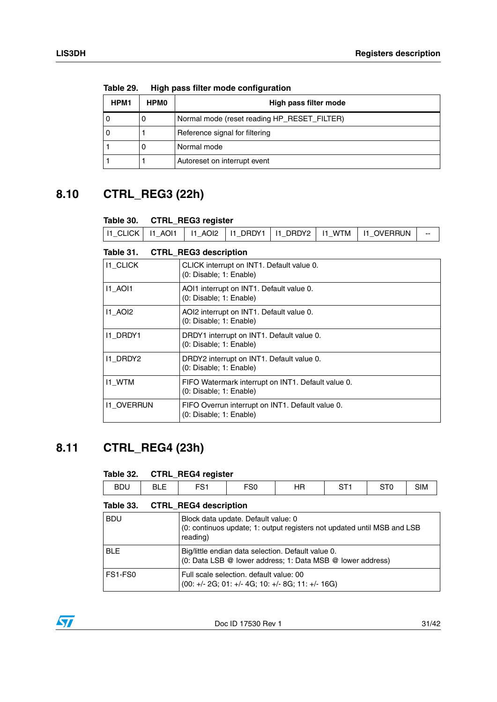| HPM1 | <b>HPMO</b> | High pass filter mode                       |  |  |  |  |  |
|------|-------------|---------------------------------------------|--|--|--|--|--|
| 0    | U           | Normal mode (reset reading HP_RESET_FILTER) |  |  |  |  |  |
| 0    |             | Reference signal for filtering              |  |  |  |  |  |
|      | U           | Normal mode                                 |  |  |  |  |  |
|      |             | Autoreset on interrupt event                |  |  |  |  |  |

<span id="page-30-2"></span>**Table 29. High pass filter mode configuration**

### <span id="page-30-0"></span>**8.10 CTRL\_REG3 (22h)**

#### <span id="page-30-3"></span>**Table 30. CTRL\_REG3 register**

<span id="page-30-4"></span>

| Table 30.         |                | <b>CTRL_REG3 register</b>                                                     |                                                                      |          |               |                   |  |
|-------------------|----------------|-------------------------------------------------------------------------------|----------------------------------------------------------------------|----------|---------------|-------------------|--|
| <b>I1_CLICK</b>   | <b>I1_AOI1</b> | 11 AOI2                                                                       | I1_DRDY1                                                             | I1_DRDY2 | <b>I1_WTM</b> | <b>I1_OVERRUN</b> |  |
| Table 31.         |                | <b>CTRL REG3 description</b>                                                  |                                                                      |          |               |                   |  |
| <b>I1_CLICK</b>   |                |                                                                               | CLICK interrupt on INT1. Default value 0.<br>(0: Disable; 1: Enable) |          |               |                   |  |
| <b>11 AOI1</b>    |                | AOI1 interrupt on INT1. Default value 0.<br>(0: Disable; 1: Enable)           |                                                                      |          |               |                   |  |
| <b>11 AOI2</b>    |                | AOI2 interrupt on INT1. Default value 0.<br>(0: Disable; 1: Enable)           |                                                                      |          |               |                   |  |
| <b>I1 DRDY1</b>   |                | DRDY1 interrupt on INT1. Default value 0.<br>(0: Disable; 1: Enable)          |                                                                      |          |               |                   |  |
| I1_DRDY2          |                | DRDY2 interrupt on INT1. Default value 0.<br>(0: Disable; 1: Enable)          |                                                                      |          |               |                   |  |
| <b>I1_WTM</b>     |                | FIFO Watermark interrupt on INT1. Default value 0.<br>(0: Disable; 1: Enable) |                                                                      |          |               |                   |  |
| <b>11 OVERRUN</b> |                | FIFO Overrun interrupt on INT1. Default value 0.                              |                                                                      |          |               |                   |  |

### <span id="page-30-1"></span>**8.11 CTRL\_REG4 (23h)**

#### <span id="page-30-5"></span>**Table 32. CTRL\_REG4 register**

| <b>BDU</b> | - -<br>◡–– | <b>-01</b><br>ິ | <b>-00</b><br>υu | JЕ<br>пn | $\sim$ $\sim$ | $- - -$<br>- 1 V<br>ັ | sІM |
|------------|------------|-----------------|------------------|----------|---------------|-----------------------|-----|
|            |            |                 |                  |          |               |                       |     |

#### <span id="page-30-6"></span>**Table 33. CTRL\_REG4 description**

(0: Disable; 1: Enable)

| <b>BDU</b> | Block data update. Default value: 0<br>(0: continuos update; 1: output registers not updated until MSB and LSB<br>reading) |
|------------|----------------------------------------------------------------------------------------------------------------------------|
| <b>BLE</b> | Big/little endian data selection. Default value 0.<br>(0: Data LSB @ lower address; 1: Data MSB @ lower address)           |
| FS1-FS0    | Full scale selection. default value: 00<br>(00: +/- 2G; 01: +/- 4G; 10: +/- 8G; 11: +/- 16G)                               |

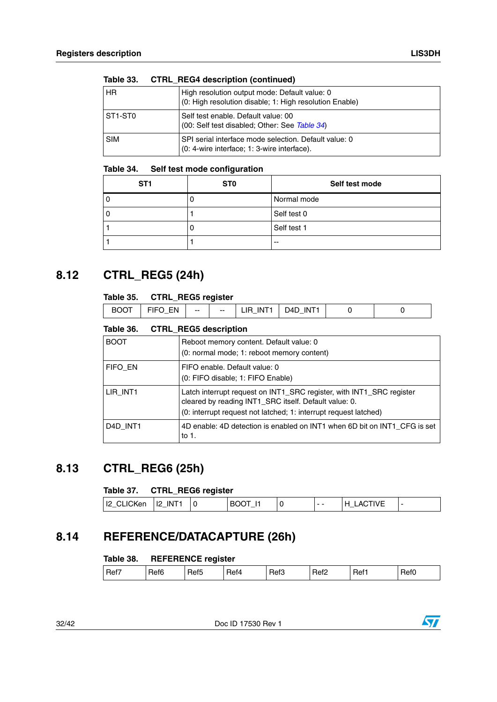| Taple 33.  | <b>UIRL REG4 description (continued)</b>                                                                 |
|------------|----------------------------------------------------------------------------------------------------------|
| <b>HR</b>  | High resolution output mode: Default value: 0<br>(0: High resolution disable; 1: High resolution Enable) |
| ST1-ST0    | Self test enable. Default value: 00<br>(00: Self test disabled; Other: See Table 34)                     |
| <b>SIM</b> | SPI serial interface mode selection. Default value: 0<br>(0: 4-wire interface; 1: 3-wire interface).     |

### **Table 33. CTRL\_REG4 description (continued)**

#### <span id="page-31-3"></span>**Table 34. Self test mode configuration**

| ST <sub>1</sub> | ST <sub>0</sub> | Self test mode |
|-----------------|-----------------|----------------|
|                 |                 | Normal mode    |
|                 |                 | Self test 0    |
|                 |                 | Self test 1    |
|                 |                 | $-$            |

### <span id="page-31-0"></span>**8.12 CTRL\_REG5 (24h)**

#### <span id="page-31-4"></span>**Table 35. CTRL\_REG5 register**

| N<br>ובנ<br>нα<br>м<br>ıм<br>$- -$<br>-- | $-$ |  |  |  | $\overline{\phantom{a}}$<br>IF | <b>INT</b> |  |  |
|------------------------------------------|-----|--|--|--|--------------------------------|------------|--|--|
|------------------------------------------|-----|--|--|--|--------------------------------|------------|--|--|

#### <span id="page-31-5"></span>**Table 36. CTRL\_REG5 description**

| <b>BOOT</b>                       | Reboot memory content. Default value: 0<br>(0: normal mode; 1: reboot memory content)                                                                                                             |
|-----------------------------------|---------------------------------------------------------------------------------------------------------------------------------------------------------------------------------------------------|
| FIFO EN                           | FIFO enable. Default value: 0<br>(0: FIFO disable; 1: FIFO Enable)                                                                                                                                |
| LIR INT1                          | Latch interrupt request on INT1_SRC register, with INT1_SRC register<br>cleared by reading INT1_SRC itself. Default value: 0.<br>(0: interrupt request not latched; 1: interrupt request latched) |
| D <sub>4</sub> D INT <sub>1</sub> | 4D enable: 4D detection is enabled on INT1 when 6D bit on INT1 CFG is set<br>to 1.                                                                                                                |

### <span id="page-31-1"></span>**8.13 CTRL\_REG6 (25h)**

#### <span id="page-31-6"></span>**Table 37. CTRL\_REG6 register**

| I2_CLICKen   I2_INT1 |  | <b>BOOT</b><br>_ | $ -$ | <b>LACTIVE</b><br>. H |  |
|----------------------|--|------------------|------|-----------------------|--|

### <span id="page-31-2"></span>**8.14 REFERENCE/DATACAPTURE (26h)**

#### <span id="page-31-7"></span>Table 38. **REFERENCE register**

| Ref7<br>Ref5<br>Ref6<br>Ref3<br>Ref <sub>2</sub><br>Ref0<br>Ref1<br>Ret4 |
|--------------------------------------------------------------------------|
|--------------------------------------------------------------------------|

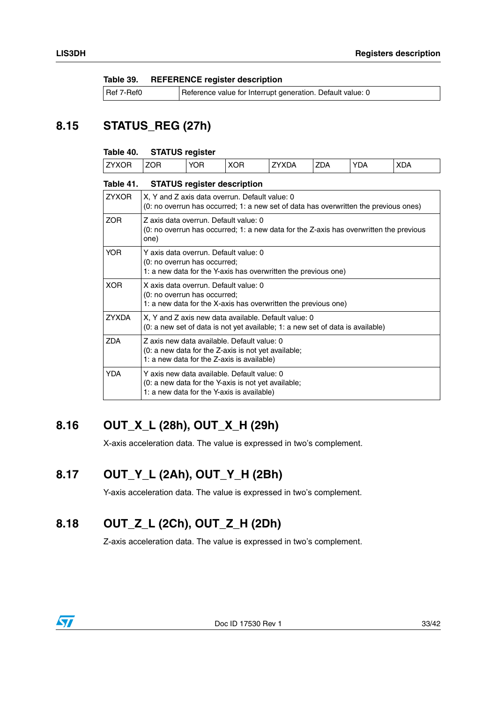<span id="page-32-4"></span>

| Table 39. | <b>REFERENCE register description</b> |  |  |
|-----------|---------------------------------------|--|--|
|-----------|---------------------------------------|--|--|

| Ref 7-Ref0 | Reference value for Interrupt generation. Default value: 0 |
|------------|------------------------------------------------------------|
|------------|------------------------------------------------------------|

### <span id="page-32-0"></span>**8.15 STATUS\_REG (27h)**

#### <span id="page-32-5"></span>**Table 40. STATUS register**

| VOD<br>---<br>$V\Gamma$<br>$V\Gamma$<br>'XDA<br><b>ZDA</b><br>7 <sup>1</sup><br>DΑ<br><b>XDA</b><br>″UH.<br>℩⊢<br>⊣נ<br>ΉХ.<br>$\mathbf{A}$<br>_<br><b>1977</b><br>◡<br>--<br>- |
|---------------------------------------------------------------------------------------------------------------------------------------------------------------------------------|
|---------------------------------------------------------------------------------------------------------------------------------------------------------------------------------|

<span id="page-32-6"></span>

| <b>STATUS register description</b>                                                                                                               |
|--------------------------------------------------------------------------------------------------------------------------------------------------|
| X, Y and Z axis data overrun. Default value: 0<br>(0: no overrun has occurred; 1: a new set of data has overwritten the previous ones)           |
| Z axis data overrun. Default value: 0<br>(0: no overrun has occurred; 1: a new data for the Z-axis has overwritten the previous<br>one)          |
| Y axis data overrun. Default value: 0<br>(0: no overrun has occurred;<br>1: a new data for the Y-axis has overwritten the previous one)          |
| X axis data overrun. Default value: 0<br>(0: no overrun has occurred;<br>1: a new data for the X-axis has overwritten the previous one)          |
| X, Y and Z axis new data available. Default value: 0<br>(0: a new set of data is not yet available; 1: a new set of data is available)           |
| Z axis new data available. Default value: 0<br>(0: a new data for the Z-axis is not yet available;<br>1: a new data for the Z-axis is available) |
| Y axis new data available. Default value: 0<br>(0: a new data for the Y-axis is not yet available;<br>1: a new data for the Y-axis is available) |
|                                                                                                                                                  |

### <span id="page-32-1"></span>**8.16 OUT\_X\_L (28h), OUT\_X\_H (29h)**

X-axis acceleration data. The value is expressed in two's complement.

### <span id="page-32-2"></span>**8.17 OUT\_Y\_L (2Ah), OUT\_Y\_H (2Bh)**

Y-axis acceleration data. The value is expressed in two's complement.

### <span id="page-32-3"></span>**8.18 OUT\_Z\_L (2Ch), OUT\_Z\_H (2Dh)**

Z-axis acceleration data. The value is expressed in two's complement.

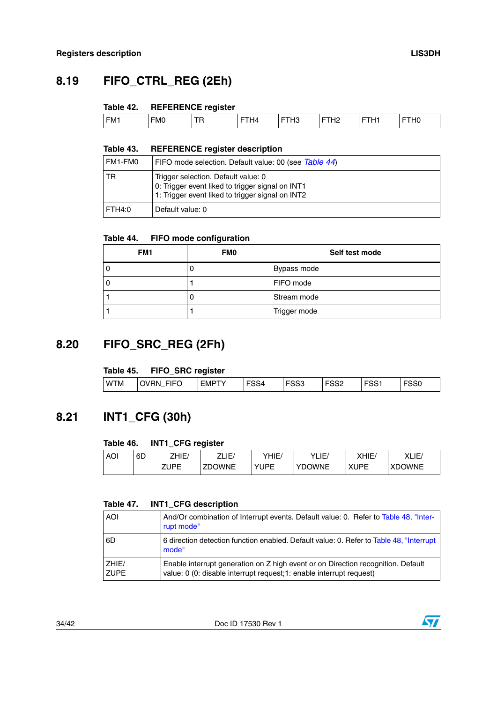### <span id="page-33-0"></span>**8.19 FIFO\_CTRL\_REG (2Eh)**

#### <span id="page-33-3"></span>**Table 42. REFERENCE register**

|                 |            | __        |    |                    |              |             |             |
|-----------------|------------|-----------|----|--------------------|--------------|-------------|-------------|
| FM <sub>1</sub> | <b>FMO</b> | --<br>. . | 44 | הווי<br>-<br>. ا ت | .<br>_<br>-- | .<br>-<br>- | 110<br>. nv |
|                 |            |           |    |                    |              |             |             |

#### <span id="page-33-4"></span>**Table 43. REFERENCE register description**

| l FM1-FM0 | FIFO mode selection. Default value: 00 (see Table 44)                                                                                       |
|-----------|---------------------------------------------------------------------------------------------------------------------------------------------|
| l TR      | Trigger selection. Default value: 0<br>0: Trigger event liked to trigger signal on INT1<br>1: Trigger event liked to trigger signal on INT2 |
| FTH4:0    | Default value: 0                                                                                                                            |

#### <span id="page-33-5"></span>**Table 44. FIFO mode configuration**

| FM1 | <b>FMO</b> | Self test mode |
|-----|------------|----------------|
|     |            | Bypass mode    |
|     |            | FIFO mode      |
|     |            | Stream mode    |
|     |            | Trigger mode   |

### <span id="page-33-1"></span>**8.20 FIFO\_SRC\_REG (2Fh)**

#### <span id="page-33-6"></span>**Table 45. FIFO\_SRC register**

|            | ------<br>$\overline{\phantom{a}}$ | -------------    |                   |             |            |           |             |
|------------|------------------------------------|------------------|-------------------|-------------|------------|-----------|-------------|
| <b>WTM</b> | <b>FIFC</b><br><b>OVRN</b><br>V    | EMP <sup>-</sup> | roo 1<br>54<br>−ט | roon<br>ააა | rooc<br>ءت | roo.<br>ت | rooc<br>ວວບ |

### <span id="page-33-2"></span>**8.21 INT1\_CFG (30h)**

#### <span id="page-33-7"></span>**Table 46. INT1\_CFG register**

| <b>AOI</b> | 6D | 7HIE/       | ZLIE/         | YHIE⁄ | YLIE/         | XHIE∕       | XLIE/         |
|------------|----|-------------|---------------|-------|---------------|-------------|---------------|
|            |    | <b>ZUPE</b> | <b>ZDOWNE</b> | YUPE  | <b>YDOWNE</b> | <b>XUPE</b> | <b>XDOWNE</b> |

#### <span id="page-33-8"></span>**Table 47. INT1\_CFG description**

| <b>AOI</b>           | And/Or combination of Interrupt events. Default value: 0. Refer to Table 48, "Inter-<br>rupt mode"                                                       |
|----------------------|----------------------------------------------------------------------------------------------------------------------------------------------------------|
| 6D                   | 6 direction detection function enabled. Default value: 0. Refer to Table 48, "Interrupt"<br>mode"                                                        |
| ZHIE/<br><b>ZUPE</b> | Enable interrupt generation on Z high event or on Direction recognition. Default<br>value: 0 (0: disable interrupt request; 1: enable interrupt request) |

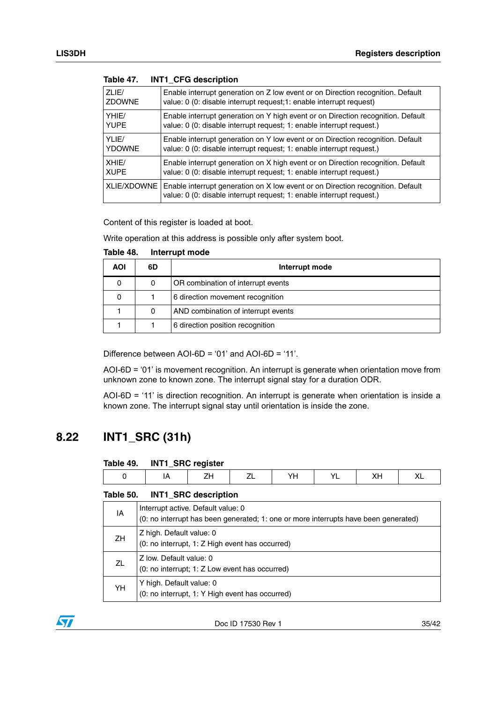| ZLIE/         | Enable interrupt generation on Z low event or on Direction recognition. Default                                                                          |
|---------------|----------------------------------------------------------------------------------------------------------------------------------------------------------|
| <b>ZDOWNE</b> | value: 0 (0: disable interrupt request; 1: enable interrupt request)                                                                                     |
| YHIE/         | Enable interrupt generation on Y high event or on Direction recognition. Default                                                                         |
| <b>YUPE</b>   | value: 0 (0: disable interrupt request; 1: enable interrupt request.)                                                                                    |
| YLIE/         | Enable interrupt generation on Y low event or on Direction recognition. Default                                                                          |
| <b>YDOWNE</b> | value: 0 (0: disable interrupt request; 1: enable interrupt request.)                                                                                    |
| XHIE/         | Enable interrupt generation on X high event or on Direction recognition. Default                                                                         |
| <b>XUPE</b>   | value: 0 (0: disable interrupt request; 1: enable interrupt request.)                                                                                    |
| XLIE/XDOWNE   | Enable interrupt generation on X low event or on Direction recognition. Default<br>value: 0 (0: disable interrupt request; 1: enable interrupt request.) |

**Table 47. INT1\_CFG description**

Content of this register is loaded at boot.

Write operation at this address is possible only after system boot.

| <b>AOI</b> | 6D | Interrupt mode                      |
|------------|----|-------------------------------------|
|            | 0  | OR combination of interrupt events  |
|            |    | 6 direction movement recognition    |
|            | 0  | AND combination of interrupt events |
|            |    | 6 direction position recognition    |

<span id="page-34-1"></span>**Table 48. Interrupt mode**

Difference between AOI-6D = '01' and AOI-6D = '11'.

AOI-6D = '01' is movement recognition. An interrupt is generate when orientation move from unknown zone to known zone. The interrupt signal stay for a duration ODR.

AOI-6D = '11' is direction recognition. An interrupt is generate when orientation is inside a known zone. The interrupt signal stay until orientation is inside the zone.

### <span id="page-34-0"></span>**8.22 INT1\_SRC (31h)**

<span id="page-34-2"></span>

| Table 49. |  |  | INT1_SRC register |
|-----------|--|--|-------------------|
|-----------|--|--|-------------------|

#### <span id="page-34-3"></span>**Table 50. INT1\_SRC description**

| IA | Interrupt active. Default value: 0<br>(0: no interrupt has been generated; 1: one or more interrupts have been generated) |
|----|---------------------------------------------------------------------------------------------------------------------------|
| ZH | Z high. Default value: 0<br>(0: no interrupt, 1: Z High event has occurred)                                               |
| ΖL | Z low. Default value: 0<br>(0: no interrupt; 1: Z Low event has occurred)                                                 |
| YH | Y high. Default value: 0<br>(0: no interrupt, 1: Y High event has occurred)                                               |

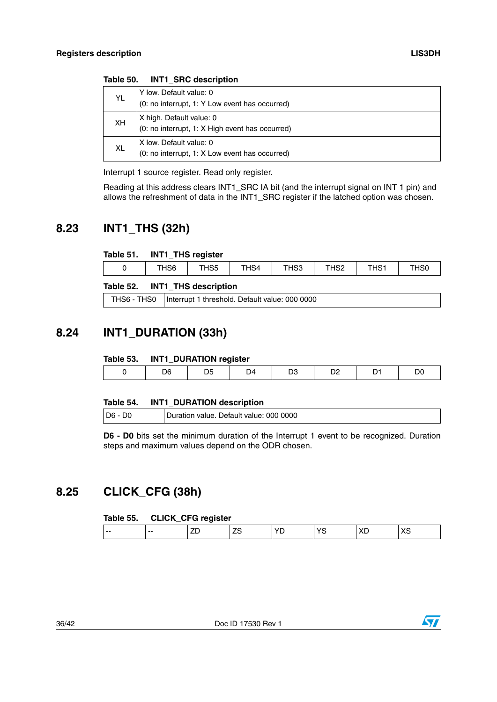|           | $1805$ $30.$ $1111$ $310$ $050$ $110$           |
|-----------|-------------------------------------------------|
|           | Y low. Default value: 0                         |
| YL.       | (0: no interrupt, 1: Y Low event has occurred)  |
| <b>XH</b> | X high. Default value: 0                        |
|           | (0: no interrupt, 1: X High event has occurred) |
|           | X low. Default value: 0                         |
| <b>XL</b> | (0: no interrupt, 1: X Low event has occurred)  |

**Table 50. INT1\_SRC description**

Interrupt 1 source register. Read only register.

Reading at this address clears INT1\_SRC IA bit (and the interrupt signal on INT 1 pin) and allows the refreshment of data in the INT1\_SRC register if the latched option was chosen.

### <span id="page-35-0"></span>**8.23 INT1\_THS (32h)**

#### <span id="page-35-3"></span>**Table 51. INT1\_THS register**

| THS <sub>5</sub><br>$T^{\text{H}}$<br><b>TLIO0</b><br>HS <sub>6</sub><br>$\overline{\phantom{a}}$<br>THS1<br>$\sim$<br>HS4<br>¬აა<br>טטו<br>∠טו |  | _ |  |  |  |
|-------------------------------------------------------------------------------------------------------------------------------------------------|--|---|--|--|--|
|                                                                                                                                                 |  |   |  |  |  |

#### <span id="page-35-4"></span>**Table 52. INT1\_THS description**

| THS6 - THS0   Interrupt 1 threshold. Default value: 000 0000 |
|--------------------------------------------------------------|

### <span id="page-35-1"></span>**8.24 INT1\_DURATION (33h)**

#### <span id="page-35-5"></span>**Table 53. INT1\_DURATION register**

| . |   | _____ |  |  |
|---|---|-------|--|--|
|   | . | υ4    |  |  |
|   |   |       |  |  |

#### <span id="page-35-6"></span>**Table 54. INT1\_DURATION description**

| <b>D6 - D</b><br>D0 | Duration value. Default value: 000 0000 |
|---------------------|-----------------------------------------|
|                     |                                         |

**D6 - D0** bits set the minimum duration of the Interrupt 1 event to be recognized. Duration steps and maximum values depend on the ODR chosen.

### <span id="page-35-2"></span>**8.25 CLICK\_CFG (38h)**

#### <span id="page-35-7"></span>**Table 55. CLICK\_CFG register**

| $-$<br>$-$ |  |  |  |  |
|------------|--|--|--|--|
|            |  |  |  |  |

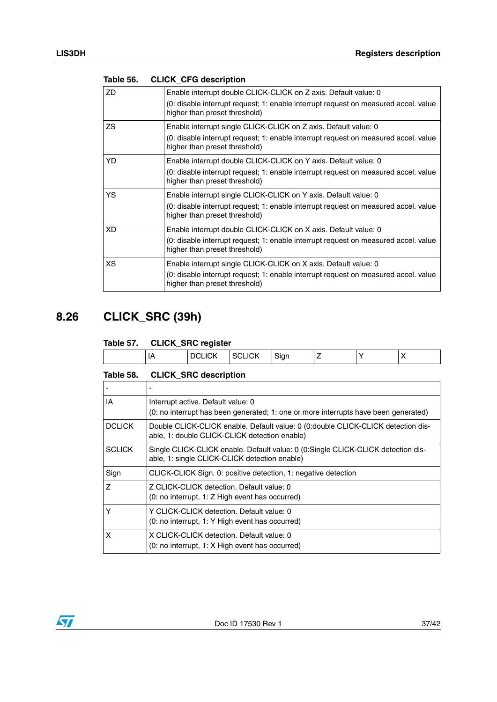| <b>ZD</b> | Enable interrupt double CLICK-CLICK on Z axis. Default value: 0<br>(0: disable interrupt request; 1: enable interrupt request on measured accel. value<br>higher than preset threshold) |
|-----------|-----------------------------------------------------------------------------------------------------------------------------------------------------------------------------------------|
| ZS        | Enable interrupt single CLICK-CLICK on Z axis. Default value: 0<br>(0: disable interrupt request; 1: enable interrupt request on measured accel. value<br>higher than preset threshold) |
| YD        | Enable interrupt double CLICK-CLICK on Y axis. Default value: 0<br>(0: disable interrupt request; 1: enable interrupt request on measured accel. value<br>higher than preset threshold) |
| YS        | Enable interrupt single CLICK-CLICK on Y axis. Default value: 0<br>(0: disable interrupt request; 1: enable interrupt request on measured accel. value<br>higher than preset threshold) |
| <b>XD</b> | Enable interrupt double CLICK-CLICK on X axis. Default value: 0<br>(0: disable interrupt request; 1: enable interrupt request on measured accel. value<br>higher than preset threshold) |
| ХS        | Enable interrupt single CLICK-CLICK on X axis. Default value: 0<br>(0: disable interrupt request; 1: enable interrupt request on measured accel. value<br>higher than preset threshold) |

#### <span id="page-36-1"></span>**Table 56. CLICK\_CFG description**

### <span id="page-36-0"></span>**8.26 CLICK\_SRC (39h)**

#### <span id="page-36-2"></span>**Table 57. CLICK\_SRC register**

|       | $-$ |                             |                                             |  |     |
|-------|-----|-----------------------------|---------------------------------------------|--|-----|
| n<br> |     | $\sqrt{2}$<br><b>JLIVII</b> | $\sim$<br>$\mathbf{in}$<br>או<br>. טוש<br>っ |  | . . |
|       |     |                             |                                             |  |     |

<span id="page-36-3"></span>

| Table 58. |  | <b>CLICK_SRC</b> description |
|-----------|--|------------------------------|
|-----------|--|------------------------------|

| ΙA             | Interrupt active. Default value: 0<br>(0: no interrupt has been generated; 1: one or more interrupts have been generated)         |
|----------------|-----------------------------------------------------------------------------------------------------------------------------------|
| <b>DCLICK</b>  | Double CLICK-CLICK enable. Default value: 0 (0:double CLICK-CLICK detection dis-<br>able, 1: double CLICK-CLICK detection enable) |
| <b>SCLICK</b>  | Single CLICK-CLICK enable. Default value: 0 (0:Single CLICK-CLICK detection dis-<br>able, 1: single CLICK-CLICK detection enable) |
| Sign           | CLICK-CLICK Sign. 0: positive detection, 1: negative detection                                                                    |
| $\overline{z}$ | Z CLICK-CLICK detection. Default value: 0<br>(0: no interrupt, 1: Z High event has occurred)                                      |
| Υ              | Y CLICK-CLICK detection. Default value: 0<br>(0: no interrupt, 1: Y High event has occurred)                                      |
| x              | X CLICK-CLICK detection. Default value: 0<br>(0: no interrupt, 1: X High event has occurred)                                      |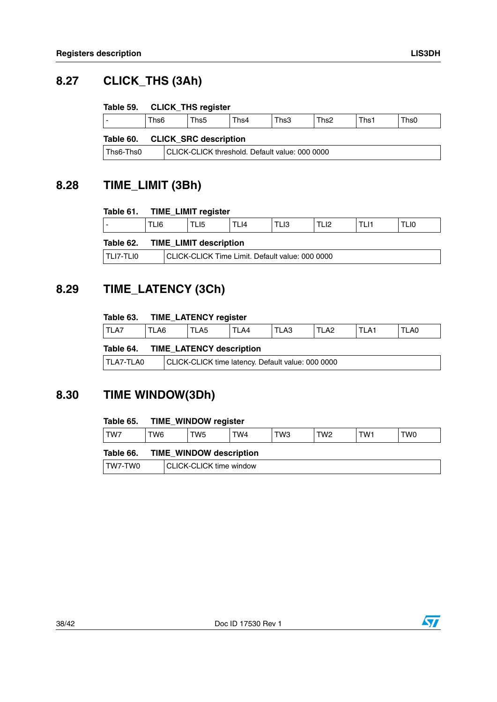### <span id="page-37-0"></span>**8.27 CLICK\_THS (3Ah)**

#### <span id="page-37-4"></span>**Table 59. CLICK\_THS register**

|           | Ths <sub>6</sub> | Ths <sub>5</sub>             | Ths4 | Ths3 | Ths <sub>2</sub> | Ths | Ths0 |
|-----------|------------------|------------------------------|------|------|------------------|-----|------|
| Table 60. |                  | <b>CLICK_SRC description</b> |      |      |                  |     |      |

<span id="page-37-5"></span>Ths6-Ths0 CLICK-CLICK threshold. Default value: 000 0000

### <span id="page-37-1"></span>**8.28 TIME\_LIMIT (3Bh)**

#### <span id="page-37-6"></span>**Table 61. TIME\_LIMIT register**

<span id="page-37-7"></span>

|             | TLI6                                            | TLI5                          | TLI4 | TLI3 | TLI2 | TLI1 | TLI0 |
|-------------|-------------------------------------------------|-------------------------------|------|------|------|------|------|
| Table 62.   |                                                 | <b>TIME LIMIT description</b> |      |      |      |      |      |
| I TLI7-TLI0 | CLICK-CLICK Time Limit. Default value: 000 0000 |                               |      |      |      |      |      |

### <span id="page-37-2"></span>**8.29 TIME\_LATENCY (3Ch)**

#### <span id="page-37-8"></span>**Table 63. TIME\_LATENCY register**

|      | __   |     |     |      |             |     |      |
|------|------|-----|-----|------|-------------|-----|------|
| TLA7 | ัLA6 | LA5 | LA4 | TLA3 | LA2<br>$ -$ | LA1 | TLA0 |

#### <span id="page-37-9"></span>**Table 64. TIME\_LATENCY description**

| TLA7-TLA0 | CLICK-CLICK time latency. Default value: 000 0000 |
|-----------|---------------------------------------------------|
|-----------|---------------------------------------------------|

### <span id="page-37-3"></span>**8.30 TIME WINDOW(3Dh)**

#### <span id="page-37-10"></span>**Table 65. TIME\_WINDOW register**

<span id="page-37-11"></span>

| TW7                                         | TW6 | TW5                     | TW4 | TW3 | TW <sub>2</sub> | TW1 | TW0 |
|---------------------------------------------|-----|-------------------------|-----|-----|-----------------|-----|-----|
| <b>TIME WINDOW description</b><br>Table 66. |     |                         |     |     |                 |     |     |
| TW7-TW0                                     |     | CLICK-CLICK time window |     |     |                 |     |     |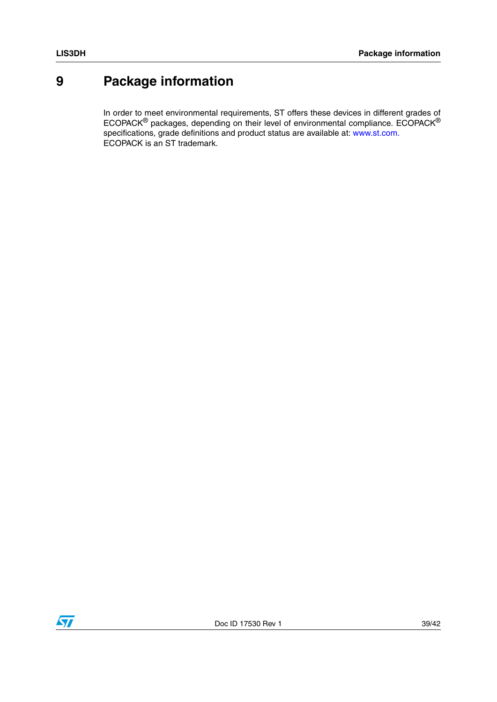### <span id="page-38-0"></span>**9 Package information**

In order to meet environmental requirements, ST offers these devices in different grades of ECOPACK® packages, depending on their level of environmental compliance. ECOPACK® specifications, grade definitions and product status are available at: www.st.com. ECOPACK is an ST trademark.

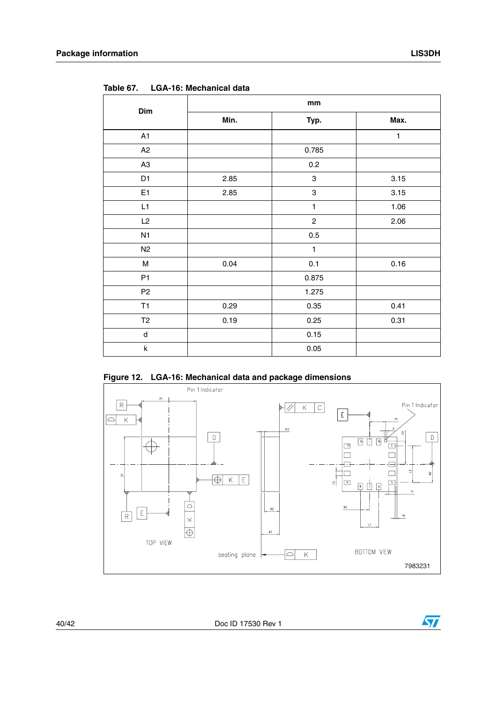| Dim            | mm   |                           |      |  |  |  |  |
|----------------|------|---------------------------|------|--|--|--|--|
|                | Min. | Typ.                      | Max. |  |  |  |  |
| A1             |      |                           | 1    |  |  |  |  |
| A2             |      | 0.785                     |      |  |  |  |  |
| A <sub>3</sub> |      | 0.2                       |      |  |  |  |  |
| D <sub>1</sub> | 2.85 | $\,$ 3 $\,$               | 3.15 |  |  |  |  |
| E1             | 2.85 | $\ensuremath{\mathsf{3}}$ | 3.15 |  |  |  |  |
| L1             |      | $\mathbf{1}$              | 1.06 |  |  |  |  |
| L2             |      | $\overline{c}$            | 2.06 |  |  |  |  |
| N1             |      | 0.5                       |      |  |  |  |  |
| N2             |      | $\mathbf{1}$              |      |  |  |  |  |
| M              | 0.04 | 0.1                       | 0.16 |  |  |  |  |
| P <sub>1</sub> |      | 0.875                     |      |  |  |  |  |
| P <sub>2</sub> |      | 1.275                     |      |  |  |  |  |
| T1             | 0.29 | 0.35                      | 0.41 |  |  |  |  |
| T2             | 0.19 | 0.25                      | 0.31 |  |  |  |  |
| $\sf d$        |      | 0.15                      |      |  |  |  |  |
| k              |      | 0.05                      |      |  |  |  |  |

<span id="page-39-1"></span>**Table 67. LGA-16: Mechanical data**

<span id="page-39-0"></span>



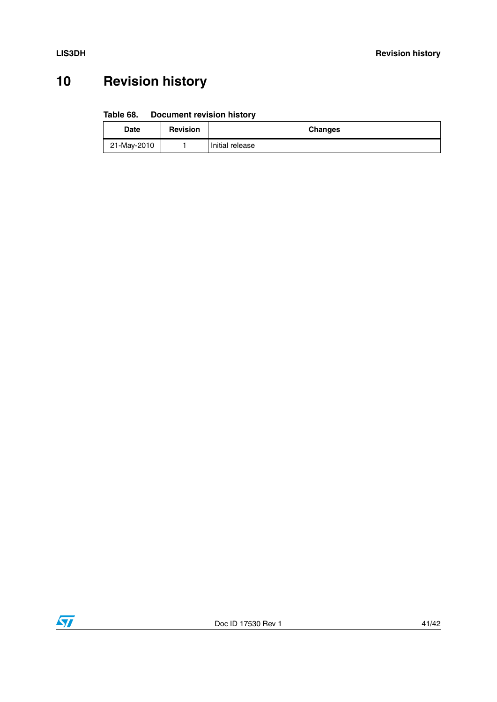# <span id="page-40-0"></span>**10 Revision history**

#### <span id="page-40-1"></span>Table 68. **Document revision history**

| <b>Date</b> | <b>Revision</b> | <b>Changes</b>  |
|-------------|-----------------|-----------------|
| 21-May-2010 |                 | Initial release |